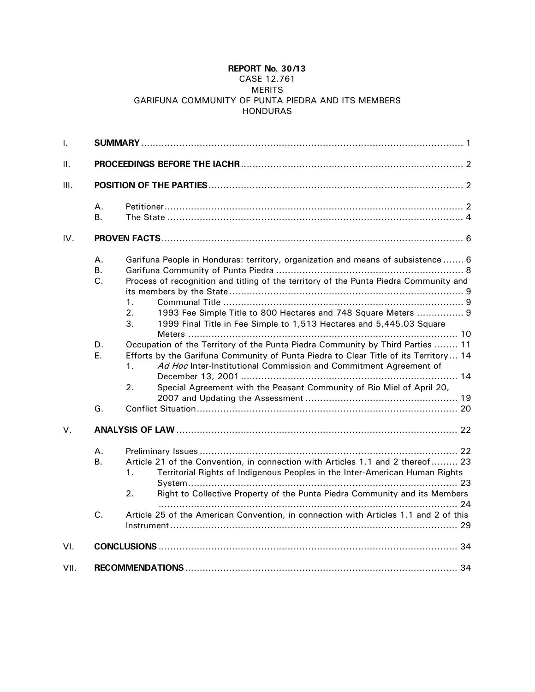# **REPORT No. 30/13**

# CASE 12.761 MERITS GARIFUNA COMMUNITY OF PUNTA PIEDRA AND ITS MEMBERS HONDURAS

| Τ.          |                       |                                                                                                                                                                                                                                                                                                                                       |  |  |
|-------------|-----------------------|---------------------------------------------------------------------------------------------------------------------------------------------------------------------------------------------------------------------------------------------------------------------------------------------------------------------------------------|--|--|
| Π.          |                       |                                                                                                                                                                                                                                                                                                                                       |  |  |
| Ш.          |                       |                                                                                                                                                                                                                                                                                                                                       |  |  |
|             | Α.<br><b>B.</b>       |                                                                                                                                                                                                                                                                                                                                       |  |  |
| IV.         |                       |                                                                                                                                                                                                                                                                                                                                       |  |  |
|             | A.<br><b>B.</b><br>C. | Garifuna People in Honduras: territory, organization and means of subsistence  6<br>Process of recognition and titling of the territory of the Punta Piedra Community and<br>1.<br>1993 Fee Simple Title to 800 Hectares and 748 Square Meters  9<br>2.<br>3.<br>1999 Final Title in Fee Simple to 1,513 Hectares and 5,445.03 Square |  |  |
|             | D.<br>Ε.              | Occupation of the Territory of the Punta Piedra Community by Third Parties  11<br>Efforts by the Garifuna Community of Punta Piedra to Clear Title of its Territory 14<br>Ad Hoc Inter-Institutional Commission and Commitment Agreement of<br>1.<br>2.<br>Special Agreement with the Peasant Community of Rio Miel of April 20,      |  |  |
|             | G.                    |                                                                                                                                                                                                                                                                                                                                       |  |  |
| $V_{\cdot}$ |                       |                                                                                                                                                                                                                                                                                                                                       |  |  |
|             | Α.<br><b>B.</b>       | Article 21 of the Convention, in connection with Articles 1.1 and 2 thereof  23<br>Territorial Rights of Indigenous Peoples in the Inter-American Human Rights<br>1 <sub>1</sub><br>Right to Collective Property of the Punta Piedra Community and its Members<br>2.                                                                  |  |  |
|             | C.                    | Article 25 of the American Convention, in connection with Articles 1.1 and 2 of this                                                                                                                                                                                                                                                  |  |  |
| VI.         |                       |                                                                                                                                                                                                                                                                                                                                       |  |  |
| VII.        |                       |                                                                                                                                                                                                                                                                                                                                       |  |  |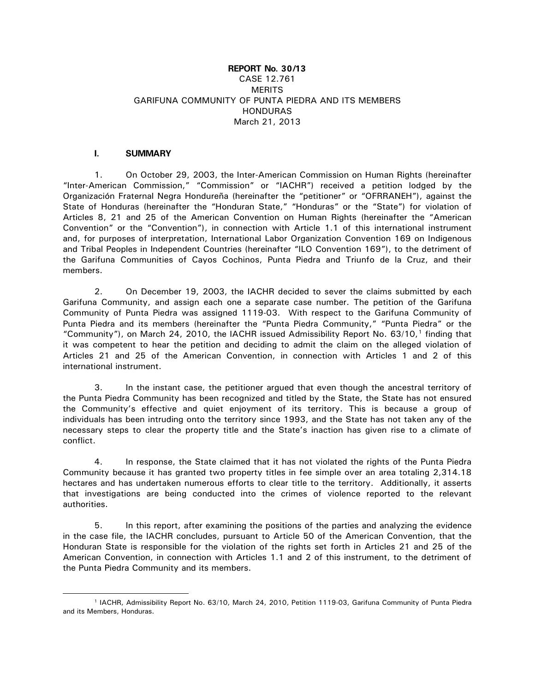# **REPORT No. 30/13** CASE 12.761 **MERITS** GARIFUNA COMMUNITY OF PUNTA PIEDRA AND ITS MEMBERS HONDURAS March 21, 2013

# **I. SUMMARY**

<span id="page-1-0"></span>1. On October 29, 2003, the Inter-American Commission on Human Rights (hereinafter "Inter-American Commission," "Commission" or "IACHR") received a petition lodged by the Organización Fraternal Negra Hondureña (hereinafter the "petitioner" or "OFRRANEH"), against the State of Honduras (hereinafter the "Honduran State," "Honduras" or the "State") for violation of Articles 8, 21 and 25 of the American Convention on Human Rights (hereinafter the "American Convention" or the "Convention"), in connection with Article 1.1 of this international instrument and, for purposes of interpretation, International Labor Organization Convention 169 on Indigenous and Tribal Peoples in Independent Countries (hereinafter "ILO Convention 169"), to the detriment of the Garifuna Communities of Cayos Cochinos, Punta Piedra and Triunfo de la Cruz, and their members.

2. On December 19, 2003, the IACHR decided to sever the claims submitted by each Garifuna Community, and assign each one a separate case number. The petition of the Garifuna Community of Punta Piedra was assigned 1119-03. With respect to the Garifuna Community of Punta Piedra and its members (hereinafter the "Punta Piedra Community," "Punta Piedra" or the "Community"), on March 24, 20[1](#page-1-1)0, the IACHR issued Admissibility Report No.  $63/10$ , If inding that it was competent to hear the petition and deciding to admit the claim on the alleged violation of Articles 21 and 25 of the American Convention, in connection with Articles 1 and 2 of this international instrument.

3. In the instant case, the petitioner argued that even though the ancestral territory of the Punta Piedra Community has been recognized and titled by the State, the State has not ensured the Community's effective and quiet enjoyment of its territory. This is because a group of individuals has been intruding onto the territory since 1993, and the State has not taken any of the necessary steps to clear the property title and the State's inaction has given rise to a climate of conflict.

4. In response, the State claimed that it has not violated the rights of the Punta Piedra Community because it has granted two property titles in fee simple over an area totaling 2,314.18 hectares and has undertaken numerous efforts to clear title to the territory. Additionally, it asserts that investigations are being conducted into the crimes of violence reported to the relevant authorities.

5. In this report, after examining the positions of the parties and analyzing the evidence in the case file, the IACHR concludes, pursuant to Article 50 of the American Convention, that the Honduran State is responsible for the violation of the rights set forth in Articles 21 and 25 of the American Convention, in connection with Articles 1.1 and 2 of this instrument, to the detriment of the Punta Piedra Community and its members.

<span id="page-1-1"></span> <sup>1</sup> IACHR, Admissibility Report No. 63/10, March 24, 2010, Petition 1119-03, Garifuna Community of Punta Piedra and its Members, Honduras.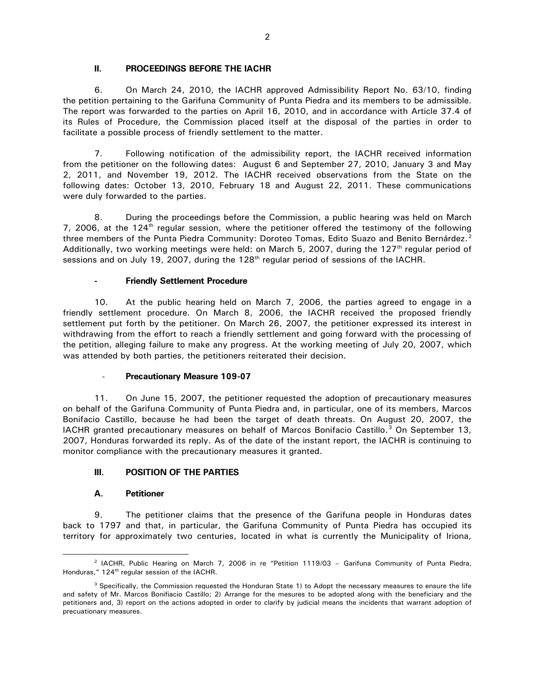### **II. PROCEEDINGS BEFORE THE IACHR**

<span id="page-2-0"></span>6. On March 24, 2010, the IACHR approved Admissibility Report No. 63/10, finding the petition pertaining to the Garifuna Community of Punta Piedra and its members to be admissible. The report was forwarded to the parties on April 16, 2010, and in accordance with Article 37.4 of its Rules of Procedure, the Commission placed itself at the disposal of the parties in order to facilitate a possible process of friendly settlement to the matter.

7. Following notification of the admissibility report, the IACHR received information from the petitioner on the following dates: August 6 and September 27, 2010, January 3 and May 2, 2011, and November 19, 2012. The IACHR received observations from the State on the following dates: October 13, 2010, February 18 and August 22, 2011. These communications were duly forwarded to the parties.

8. During the proceedings before the Commission, a public hearing was held on March 7, 2006, at the 124<sup>th</sup> regular session, where the petitioner offered the testimony of the following three members of the Punta Piedra Community: Doroteo Tomas, Edito Suazo and Benito Bernárdez.<sup>[2](#page-2-3)</sup> Additionally, two working meetings were held: on March 5, 2007, during the 127<sup>th</sup> regular period of sessions and on July 19, 2007, during the 128<sup>th</sup> regular period of sessions of the IACHR.

### **- Friendly Settlement Procedure**

10. At the public hearing held on March 7, 2006, the parties agreed to engage in a friendly settlement procedure. On March 8, 2006, the IACHR received the proposed friendly settlement put forth by the petitioner. On March 26, 2007, the petitioner expressed its interest in withdrawing from the effort to reach a friendly settlement and going forward with the processing of the petition, alleging failure to make any progress. At the working meeting of July 20, 2007, which was attended by both parties, the petitioners reiterated their decision.

#### - **Precautionary Measure 109-07**

11. On June 15, 2007, the petitioner requested the adoption of precautionary measures on behalf of the Garifuna Community of Punta Piedra and, in particular, one of its members, Marcos Bonifacio Castillo, because he had been the target of death threats. On August 20, 2007, the IACHR granted precautionary measures on behalf of Marcos Bonifacio Castillo.<sup>[3](#page-2-4)</sup> On September 13, 2007, Honduras forwarded its reply. As of the date of the instant report, the IACHR is continuing to monitor compliance with the precautionary measures it granted.

### <span id="page-2-1"></span>**III. POSITION OF THE PARTIES**

### **A. Petitioner**

<span id="page-2-2"></span>9. The petitioner claims that the presence of the Garifuna people in Honduras dates back to 1797 and that, in particular, the Garifuna Community of Punta Piedra has occupied its territory for approximately two centuries, located in what is currently the Municipality of Iriona,

<span id="page-2-3"></span> <sup>2</sup> IACHR, Public Hearing on March 7, 2006 in re "Petition 1119/03 – Garifuna Community of Punta Piedra, Honduras," 124<sup>th</sup> regular session of the IACHR.

<span id="page-2-4"></span><sup>&</sup>lt;sup>3</sup> Specifically, the Commission requested the Honduran State 1) to Adopt the necessary measures to ensure the life and safety of Mr. Marcos Bonifiacio Castillo; 2) Arrange for the mesures to be adopted along with the beneficiary and the petitioners and, 3) report on the actions adopted in order to clarify by judicial means the incidents that warrant adoption of precuationary measures.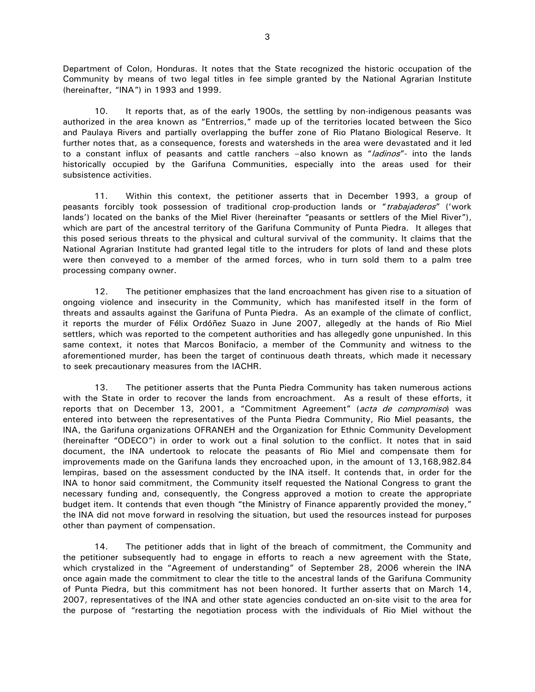Department of Colon, Honduras. It notes that the State recognized the historic occupation of the Community by means of two legal titles in fee simple granted by the National Agrarian Institute (hereinafter, "INA") in 1993 and 1999.

10. It reports that, as of the early 1900s, the settling by non-indigenous peasants was authorized in the area known as "Entrerrios," made up of the territories located between the Sico and Paulaya Rivers and partially overlapping the buffer zone of Rio Platano Biological Reserve. It further notes that, as a consequence, forests and watersheds in the area were devastated and it led to a constant influx of peasants and cattle ranchers -also known as "ladinos"- into the lands historically occupied by the Garifuna Communities, especially into the areas used for their subsistence activities.

11. Within this context, the petitioner asserts that in December 1993, a group of peasants forcibly took possession of traditional crop-production lands or "trabajaderos" ('work lands') located on the banks of the Miel River (hereinafter "peasants or settlers of the Miel River"), which are part of the ancestral territory of the Garifuna Community of Punta Piedra. It alleges that this posed serious threats to the physical and cultural survival of the community. It claims that the National Agrarian Institute had granted legal title to the intruders for plots of land and these plots were then conveyed to a member of the armed forces, who in turn sold them to a palm tree processing company owner.

12. The petitioner emphasizes that the land encroachment has given rise to a situation of ongoing violence and insecurity in the Community, which has manifested itself in the form of threats and assaults against the Garifuna of Punta Piedra. As an example of the climate of conflict, it reports the murder of Félix Ordóñez Suazo in June 2007, allegedly at the hands of Rio Miel settlers, which was reported to the competent authorities and has allegedly gone unpunished. In this same context, it notes that Marcos Bonifacio, a member of the Community and witness to the aforementioned murder, has been the target of continuous death threats, which made it necessary to seek precautionary measures from the IACHR.

13. The petitioner asserts that the Punta Piedra Community has taken numerous actions with the State in order to recover the lands from encroachment. As a result of these efforts, it reports that on December 13, 2001, a "Commitment Agreement" (acta de compromiso) was entered into between the representatives of the Punta Piedra Community, Rio Miel peasants, the INA, the Garifuna organizations OFRANEH and the Organization for Ethnic Community Development (hereinafter "ODECO") in order to work out a final solution to the conflict. It notes that in said document, the INA undertook to relocate the peasants of Rio Miel and compensate them for improvements made on the Garifuna lands they encroached upon, in the amount of 13,168,982.84 lempiras, based on the assessment conducted by the INA itself. It contends that, in order for the INA to honor said commitment, the Community itself requested the National Congress to grant the necessary funding and, consequently, the Congress approved a motion to create the appropriate budget item. It contends that even though "the Ministry of Finance apparently provided the money," the INA did not move forward in resolving the situation, but used the resources instead for purposes other than payment of compensation.

14. The petitioner adds that in light of the breach of commitment, the Community and the petitioner subsequently had to engage in efforts to reach a new agreement with the State, which crystalized in the "Agreement of understanding" of September 28, 2006 wherein the INA once again made the commitment to clear the title to the ancestral lands of the Garifuna Community of Punta Piedra, but this commitment has not been honored. It further asserts that on March 14, 2007, representatives of the INA and other state agencies conducted an on-site visit to the area for the purpose of "restarting the negotiation process with the individuals of Rio Miel without the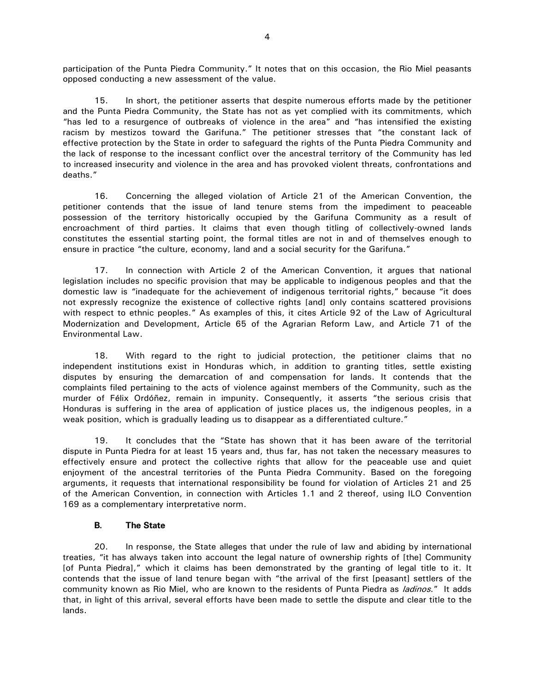participation of the Punta Piedra Community." It notes that on this occasion, the Rio Miel peasants opposed conducting a new assessment of the value.

15. In short, the petitioner asserts that despite numerous efforts made by the petitioner and the Punta Piedra Community, the State has not as yet complied with its commitments, which "has led to a resurgence of outbreaks of violence in the area" and "has intensified the existing racism by mestizos toward the Garifuna." The petitioner stresses that "the constant lack of effective protection by the State in order to safeguard the rights of the Punta Piedra Community and the lack of response to the incessant conflict over the ancestral territory of the Community has led to increased insecurity and violence in the area and has provoked violent threats, confrontations and deaths."

16. Concerning the alleged violation of Article 21 of the American Convention, the petitioner contends that the issue of land tenure stems from the impediment to peaceable possession of the territory historically occupied by the Garifuna Community as a result of encroachment of third parties. It claims that even though titling of collectively-owned lands constitutes the essential starting point, the formal titles are not in and of themselves enough to ensure in practice "the culture, economy, land and a social security for the Garifuna."

17. In connection with Article 2 of the American Convention, it argues that national legislation includes no specific provision that may be applicable to indigenous peoples and that the domestic law is "inadequate for the achievement of indigenous territorial rights," because "it does not expressly recognize the existence of collective rights [and] only contains scattered provisions with respect to ethnic peoples." As examples of this, it cites Article 92 of the Law of Agricultural Modernization and Development, Article 65 of the Agrarian Reform Law, and Article 71 of the Environmental Law.

18. With regard to the right to judicial protection, the petitioner claims that no independent institutions exist in Honduras which, in addition to granting titles, settle existing disputes by ensuring the demarcation of and compensation for lands. It contends that the complaints filed pertaining to the acts of violence against members of the Community, such as the murder of Félix Ordóñez, remain in impunity. Consequently, it asserts "the serious crisis that Honduras is suffering in the area of application of justice places us, the indigenous peoples, in a weak position, which is gradually leading us to disappear as a differentiated culture."

19. It concludes that the "State has shown that it has been aware of the territorial dispute in Punta Piedra for at least 15 years and, thus far, has not taken the necessary measures to effectively ensure and protect the collective rights that allow for the peaceable use and quiet enjoyment of the ancestral territories of the Punta Piedra Community. Based on the foregoing arguments, it requests that international responsibility be found for violation of Articles 21 and 25 of the American Convention, in connection with Articles 1.1 and 2 thereof, using ILO Convention 169 as a complementary interpretative norm.

### **B. The State**

<span id="page-4-0"></span>20. In response, the State alleges that under the rule of law and abiding by international treaties, "it has always taken into account the legal nature of ownership rights of [the] Community [of Punta Piedra]," which it claims has been demonstrated by the granting of legal title to it. It contends that the issue of land tenure began with "the arrival of the first [peasant] settlers of the community known as Rio Miel, who are known to the residents of Punta Piedra as *ladinos.*" It adds that, in light of this arrival, several efforts have been made to settle the dispute and clear title to the lands.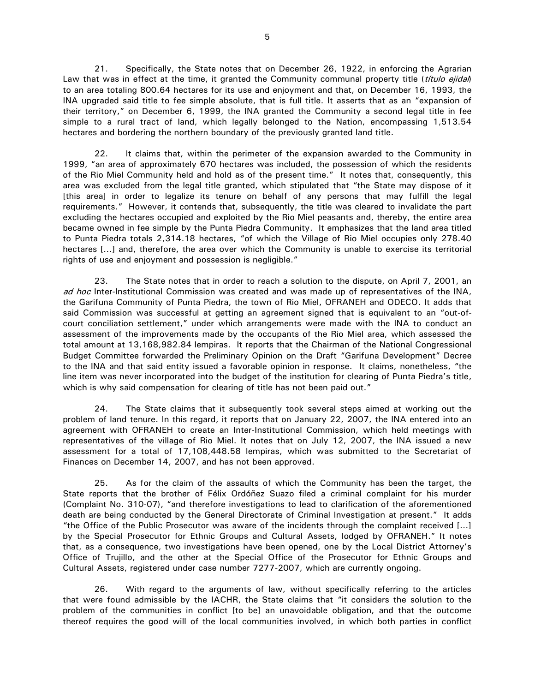21. Specifically, the State notes that on December 26, 1922, in enforcing the Agrarian Law that was in effect at the time, it granted the Community communal property title (*titulo ejidal*) to an area totaling 800.64 hectares for its use and enjoyment and that, on December 16, 1993, the INA upgraded said title to fee simple absolute, that is full title. It asserts that as an "expansion of their territory," on December 6, 1999, the INA granted the Community a second legal title in fee simple to a rural tract of land, which legally belonged to the Nation, encompassing 1,513.54 hectares and bordering the northern boundary of the previously granted land title.

22. It claims that, within the perimeter of the expansion awarded to the Community in 1999, "an area of approximately 670 hectares was included, the possession of which the residents of the Rio Miel Community held and hold as of the present time." It notes that, consequently, this area was excluded from the legal title granted, which stipulated that "the State may dispose of it [this area] in order to legalize its tenure on behalf of any persons that may fulfill the legal requirements." However, it contends that, subsequently, the title was cleared to invalidate the part excluding the hectares occupied and exploited by the Rio Miel peasants and, thereby, the entire area became owned in fee simple by the Punta Piedra Community. It emphasizes that the land area titled to Punta Piedra totals 2,314.18 hectares, "of which the Village of Rio Miel occupies only 278.40 hectares [...] and, therefore, the area over which the Community is unable to exercise its territorial rights of use and enjoyment and possession is negligible."

23. The State notes that in order to reach a solution to the dispute, on April 7, 2001, an ad hoc Inter-Institutional Commission was created and was made up of representatives of the INA, the Garifuna Community of Punta Piedra, the town of Rio Miel, OFRANEH and ODECO. It adds that said Commission was successful at getting an agreement signed that is equivalent to an "out-ofcourt conciliation settlement," under which arrangements were made with the INA to conduct an assessment of the improvements made by the occupants of the Rio Miel area, which assessed the total amount at 13,168,982.84 lempiras. It reports that the Chairman of the National Congressional Budget Committee forwarded the Preliminary Opinion on the Draft "Garifuna Development" Decree to the INA and that said entity issued a favorable opinion in response. It claims, nonetheless, "the line item was never incorporated into the budget of the institution for clearing of Punta Piedra's title, which is why said compensation for clearing of title has not been paid out."

24. The State claims that it subsequently took several steps aimed at working out the problem of land tenure. In this regard, it reports that on January 22, 2007, the INA entered into an agreement with OFRANEH to create an Inter-Institutional Commission, which held meetings with representatives of the village of Rio Miel. It notes that on July 12, 2007, the INA issued a new assessment for a total of 17,108,448.58 lempiras, which was submitted to the Secretariat of Finances on December 14, 2007, and has not been approved.

25. As for the claim of the assaults of which the Community has been the target, the State reports that the brother of Félix Ordóñez Suazo filed a criminal complaint for his murder (Complaint No. 310-07), "and therefore investigations to lead to clarification of the aforementioned death are being conducted by the General Directorate of Criminal Investigation at present." It adds "the Office of the Public Prosecutor was aware of the incidents through the complaint received […] by the Special Prosecutor for Ethnic Groups and Cultural Assets, lodged by OFRANEH." It notes that, as a consequence, two investigations have been opened, one by the Local District Attorney's Office of Trujillo, and the other at the Special Office of the Prosecutor for Ethnic Groups and Cultural Assets, registered under case number 7277-2007, which are currently ongoing.

26. With regard to the arguments of law, without specifically referring to the articles that were found admissible by the IACHR, the State claims that "it considers the solution to the problem of the communities in conflict [to be] an unavoidable obligation, and that the outcome thereof requires the good will of the local communities involved, in which both parties in conflict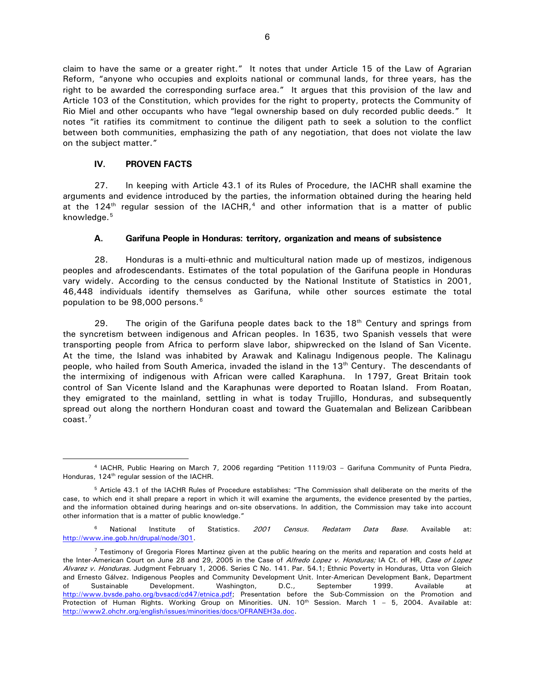claim to have the same or a greater right." It notes that under Article 15 of the Law of Agrarian Reform, "anyone who occupies and exploits national or communal lands, for three years, has the right to be awarded the corresponding surface area." It argues that this provision of the law and Article 103 of the Constitution, which provides for the right to property, protects the Community of Rio Miel and other occupants who have "legal ownership based on duly recorded public deeds." It notes "it ratifies its commitment to continue the diligent path to seek a solution to the conflict between both communities, emphasizing the path of any negotiation, that does not violate the law on the subject matter."

# **IV. PROVEN FACTS**

<span id="page-6-0"></span>27. In keeping with Article 43.1 of its Rules of Procedure, the IACHR shall examine the arguments and evidence introduced by the parties, the information obtained during the hearing held at the 12[4](#page-6-2)<sup>th</sup> regular session of the IACHR,<sup>4</sup> and other information that is a matter of public knowledge.<sup>[5](#page-6-3)</sup>

# **A. Garifuna People in Honduras: territory, organization and means of subsistence**

<span id="page-6-1"></span>28. Honduras is a multi-ethnic and multicultural nation made up of mestizos, indigenous peoples and afrodescendants. Estimates of the total population of the Garifuna people in Honduras vary widely. According to the census conducted by the National Institute of Statistics in 2001, 46,448 individuals identify themselves as Garifuna, while other sources estimate the total population to be 98,000 persons.<sup>[6](#page-6-4)</sup>

29. The origin of the Garifuna people dates back to the  $18<sup>th</sup>$  Century and springs from the syncretism between indigenous and African peoples. In 1635, two Spanish vessels that were transporting people from Africa to perform slave labor, shipwrecked on the Island of San Vicente. At the time, the Island was inhabited by Arawak and Kalinagu Indigenous people. The Kalinagu people, who hailed from South America, invaded the island in the 13<sup>th</sup> Century. The descendants of the intermixing of indigenous with African were called Karaphuna. In 1797, Great Britain took control of San Vicente Island and the Karaphunas were deported to Roatan Island. From Roatan, they emigrated to the mainland, settling in what is today Trujillo, Honduras, and subsequently spread out along the northern Honduran coast and toward the Guatemalan and Belizean Caribbean coast.[7](#page-6-5)

<span id="page-6-2"></span> <sup>4</sup> IACHR, Public Hearing on March 7, 2006 regarding "Petition 1119/03 – Garifuna Community of Punta Piedra, Honduras, 124<sup>th</sup> regular session of the IACHR.

<span id="page-6-3"></span><sup>5</sup> Article 43.1 of the IACHR Rules of Procedure establishes: "The Commission shall deliberate on the merits of the case, to which end it shall prepare a report in which it will examine the arguments, the evidence presented by the parties, and the information obtained during hearings and on-site observations. In addition, the Commission may take into account other information that is a matter of public knowledge."

<span id="page-6-4"></span><sup>&</sup>lt;sup>6</sup> National Institute of Statistics. *2001 Census. Redatam Data Base.* Available at: [http://www.ine.gob.hn/drupal/node/301.](http://www.ine.gob.hn/drupal/node/301)

<span id="page-6-5"></span> $7$  Testimony of Gregoria Flores Martinez given at the public hearing on the merits and reparation and costs held at the Inter-American Court on June 28 and 29, 2005 in the Case of Alfredo Lopez v. Honduras; IA Ct. of HR, Case of Lopez Alvarez v. Honduras. Judgment February 1, 2006. Series C No. 141. Par. 54.1; Ethnic Poverty in Honduras, Utta von Gleich and Ernesto Gálvez. Indigenous Peoples and Community Development Unit. Inter-American Development Bank, Department of Sustainable Development. Washington, D.C., September 1999. Available at [http://www.bvsde.paho.org/bvsacd/cd47/etnica.pdf;](http://www.bvsde.paho.org/bvsacd/cd47/etnica.pdf) Presentation before the Sub-Commission on the Promotion and Protection of Human Rights. Working Group on Minorities. UN.  $10^{th}$  Session. March  $1 - 5$ , 2004. Available at: [http://www2.ohchr.org/english/issues/minorities/docs/OFRANEH3a.doc.](http://www2.ohchr.org/english/issues/minorities/docs/OFRANEH3a.doc)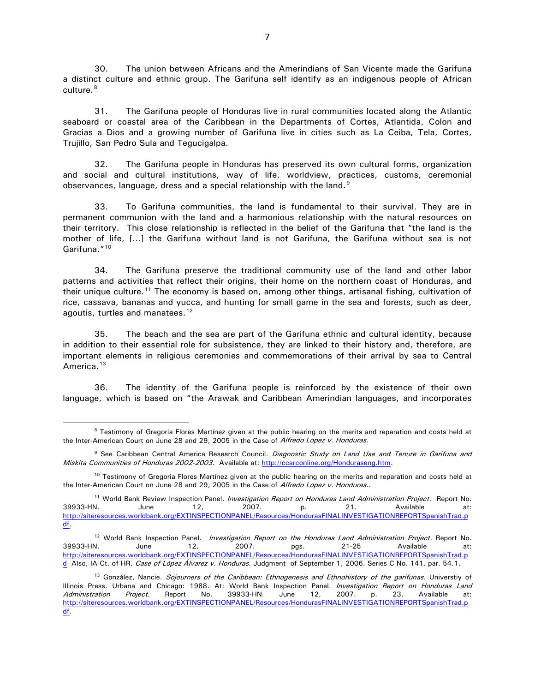30. The union between Africans and the Amerindians of San Vicente made the Garifuna a distinct culture and ethnic group. The Garifuna self identify as an indigenous people of African culture.<sup>[8](#page-7-0)</sup>

31. The Garifuna people of Honduras live in rural communities located along the Atlantic seaboard or coastal area of the Caribbean in the Departments of Cortes, Atlantida, Colon and Gracias a Dios and a growing number of Garifuna live in cities such as La Ceiba, Tela, Cortes, Trujillo, San Pedro Sula and Tegucigalpa.

32. The Garifuna people in Honduras has preserved its own cultural forms, organization and social and cultural institutions, way of life, worldview, practices, customs, ceremonial observances, language, dress and a special relationship with the land.<sup>[9](#page-7-1)</sup>

33. To Garifuna communities, the land is fundamental to their survival. They are in permanent communion with the land and a harmonious relationship with the natural resources on their territory. This close relationship is reflected in the belief of the Garifuna that "the land is the mother of life, […] the Garifuna without land is not Garifuna, the Garifuna without sea is not Garifuna."<sup>[10](#page-7-2)</sup>

34. The Garifuna preserve the traditional community use of the land and other labor patterns and activities that reflect their origins, their home on the northern coast of Honduras, and their unique culture.<sup>[11](#page-7-3)</sup> The economy is based on, among other things, artisanal fishing, cultivation of rice, cassava, bananas and yucca, and hunting for small game in the sea and forests, such as deer, agoutis, turtles and manatees.<sup>[12](#page-7-4)</sup>

35. The beach and the sea are part of the Garifuna ethnic and cultural identity, because in addition to their essential role for subsistence, they are linked to their history and, therefore, are important elements in religious ceremonies and commemorations of their arrival by sea to Central America.<sup>[13](#page-7-5)</sup>

36. The identity of the Garifuna people is reinforced by the existence of their own language, which is based on "the Arawak and Caribbean Amerindian languages, and incorporates

<span id="page-7-0"></span><sup>&</sup>lt;sup>8</sup> Testimony of Gregoria Flores Martínez given at the public hearing on the merits and reparation and costs held at the Inter-American Court on June 28 and 29, 2005 in the Case of Alfredo Lopez v. Honduras.

<span id="page-7-1"></span><sup>&</sup>lt;sup>9</sup> See Caribbean Central America Research Council. Diagnostic Study on Land Use and Tenure in Garifuna and Miskita Communities of Honduras 2002-2003. Available at[: http://ccarconline.org/Honduraseng.htm.](http://ccarconline.org/Honduraseng.htm)

<span id="page-7-2"></span><sup>&</sup>lt;sup>10</sup> Testimony of Gregoria Flores Martínez given at the public hearing on the merits and reparation and costs held at the Inter-American Court on June 28 and 29, 2005 in the Case of Alfredo Lopez v. Honduras..

<span id="page-7-3"></span><sup>&</sup>lt;sup>11</sup> World Bank Review Inspection Panel. *Investigation Report on Honduras Land Administration Project*. Report No. 39933-HN. June 12, 2007. p. 21. Available at: [http://siteresources.worldbank.org/EXTINSPECTIONPANEL/Resources/HondurasFINALINVESTIGATIONREPORTSpanishTrad.p](http://siteresources.worldbank.org/EXTINSPECTIONPANEL/Resources/HondurasFINALINVESTIGATIONREPORTSpanishTrad.pdf) [df.](http://siteresources.worldbank.org/EXTINSPECTIONPANEL/Resources/HondurasFINALINVESTIGATIONREPORTSpanishTrad.pdf)

<span id="page-7-4"></span><sup>&</sup>lt;sup>12</sup> World Bank Inspection Panel. *Investigation Report on the Honduras Land Administration Project*. Report No. 39933-HN. June 12, 2007. pgs. 21-25 Available at: [http://siteresources.worldbank.org/EXTINSPECTIONPANEL/Resources/HondurasFINALINVESTIGATIONREPORTSpanishTrad.p](http://siteresources.worldbank.org/EXTINSPECTIONPANEL/Resources/HondurasFINALINVESTIGATIONREPORTSpanishTrad.pd) [d](http://siteresources.worldbank.org/EXTINSPECTIONPANEL/Resources/HondurasFINALINVESTIGATIONREPORTSpanishTrad.pd) Also, IA Ct. of HR, Case of López Álvarez v. Honduras. Judgment of September 1, 2006. Series C No. 141. par. 54.1.

<span id="page-7-5"></span><sup>&</sup>lt;sup>13</sup> González, Nancie. Sojourners of the Caribbean: Ethnogenesis and Ethnohistory of the garifunas. Universtiy of Illinois Press. Urbana and Chicago: 1988. At: World Bank Inspection Panel. Investigation Report on Honduras Land Administration Project. Report No. 39933-HN. June 12, 2007. p. 23. Available at: [http://siteresources.worldbank.org/EXTINSPECTIONPANEL/Resources/HondurasFINALINVESTIGATIONREPORTSpanishTrad.p](http://siteresources.worldbank.org/EXTINSPECTIONPANEL/Resources/HondurasFINALINVESTIGATIONREPORTSpanishTrad.pdf) [df.](http://siteresources.worldbank.org/EXTINSPECTIONPANEL/Resources/HondurasFINALINVESTIGATIONREPORTSpanishTrad.pdf)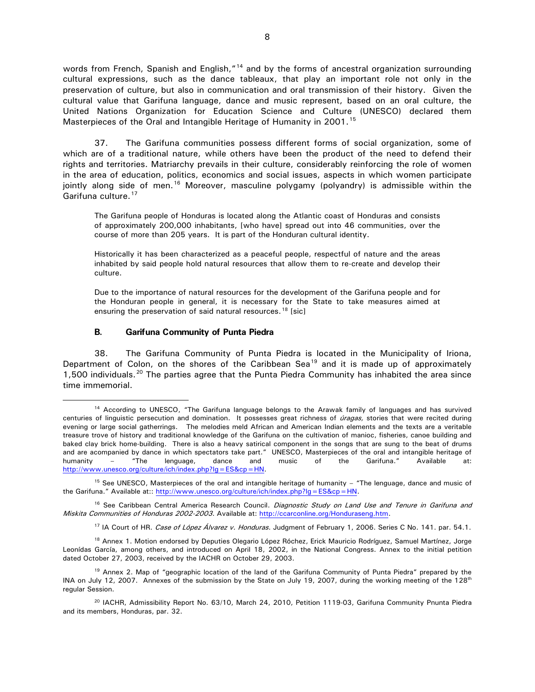words from French, Spanish and English,"<sup>[14](#page-8-1)</sup> and by the forms of ancestral organization surrounding cultural expressions, such as the dance tableaux, that play an important role not only in the preservation of culture, but also in communication and oral transmission of their history. Given the cultural value that Garifuna language, dance and music represent, based on an oral culture, the United Nations Organization for Education Science and Culture (UNESCO) declared them Masterpieces of the Oral and Intangible Heritage of Humanity in 2001.<sup>[15](#page-8-2)</sup>

37. The Garifuna communities possess different forms of social organization, some of which are of a traditional nature, while others have been the product of the need to defend their rights and territories. Matriarchy prevails in their culture, considerably reinforcing the role of women in the area of education, politics, economics and social issues, aspects in which women participate jointly along side of men.<sup>[16](#page-8-3)</sup> Moreover, masculine polygamy (polyandry) is admissible within the Garifuna culture.<sup>[17](#page-8-4)</sup>

The Garifuna people of Honduras is located along the Atlantic coast of Honduras and consists of approximately 200,000 inhabitants, [who have] spread out into 46 communities, over the course of more than 205 years. It is part of the Honduran cultural identity.

Historically it has been characterized as a peaceful people, respectful of nature and the areas inhabited by said people hold natural resources that allow them to re-create and develop their culture.

Due to the importance of natural resources for the development of the Garifuna people and for the Honduran people in general, it is necessary for the State to take measures aimed at ensuring the preservation of said natural resources.<sup>[18](#page-8-5)</sup> [sic]

#### **B. Garifuna Community of Punta Piedra**

<span id="page-8-0"></span>38. The Garifuna Community of Punta Piedra is located in the Municipality of Iriona, Department of Colon, on the shores of the Caribbean Sea<sup>[19](#page-8-6)</sup> and it is made up of approximately 1,500 individuals.<sup>[20](#page-8-7)</sup> The parties agree that the Punta Piedra Community has inhabited the area since time immemorial.

<sup>17</sup> IA Court of HR. Case of López Álvarez v. Honduras. Judgment of February 1, 2006. Series C No. 141. par. 54.1.

<span id="page-8-5"></span><span id="page-8-4"></span><sup>18</sup> Annex 1. Motion endorsed by Deputies Olegario López Róchez, Erick Mauricio Rodríguez, Samuel Martínez, Jorge Leonídas García, among others, and introduced on April 18, 2002, in the National Congress. Annex to the initial petition dated October 27, 2003, received by the IACHR on October 29, 2003.

<span id="page-8-1"></span><sup>&</sup>lt;sup>14</sup> According to UNESCO, "The Garifuna language belongs to the Arawak family of languages and has survived centuries of linguistic persecution and domination. It possesses great richness of *úragas*, stories that were recited during evening or large social gatherrings. The melodies meld African and American Indian elements and the texts are a veritable treasure trove of history and traditional knowledge of the Garifuna on the cultivation of manioc, fisheries, canoe building and baked clay brick home-building. There is also a heavy satirical component in the songs that are sung to the beat of drums and are acompanied by dance in which spectators take part." UNESCO, Masterpieces of the oral and intangible heritage of humanity – "The lenguage, dance and music of the Garifuna." Available at: [http://www.unesco.org/culture/ich/index.php?lg=ES&cp=HN.](http://www.unesco.org/culture/ich/index.php?lg=ES&cp=HN)

<span id="page-8-2"></span><sup>15</sup> See UNESCO, Masterpieces of the oral and intangible heritage of humanity – "The lenguage, dance and music of the Garifuna." Available at:: [http://www.unesco.org/culture/ich/index.php?lg=ES&cp=HN.](http://www.unesco.org/culture/ich/index.php?lg=ES&cp=HN)

<span id="page-8-3"></span><sup>&</sup>lt;sup>16</sup> See Caribbean Central America Research Council. Diagnostic Study on Land Use and Tenure in Garifuna and Miskita Communities of Honduras 2002-2003. Available at: [http://ccarconline.org/Honduraseng.htm.](http://ccarconline.org/Honduraseng.htm)

<span id="page-8-6"></span><sup>&</sup>lt;sup>19</sup> Annex 2. Map of "geographic location of the land of the Garifuna Community of Punta Piedra" prepared by the INA on July 12, 2007. Annexes of the submission by the State on July 19, 2007, during the working meeting of the 128<sup>th</sup> regular Session.

<span id="page-8-7"></span><sup>&</sup>lt;sup>20</sup> IACHR, Admissibility Report No. 63/10, March 24, 2010, Petition 1119-03, Garifuna Community Pnunta Piedra and its members, Honduras, par. 32.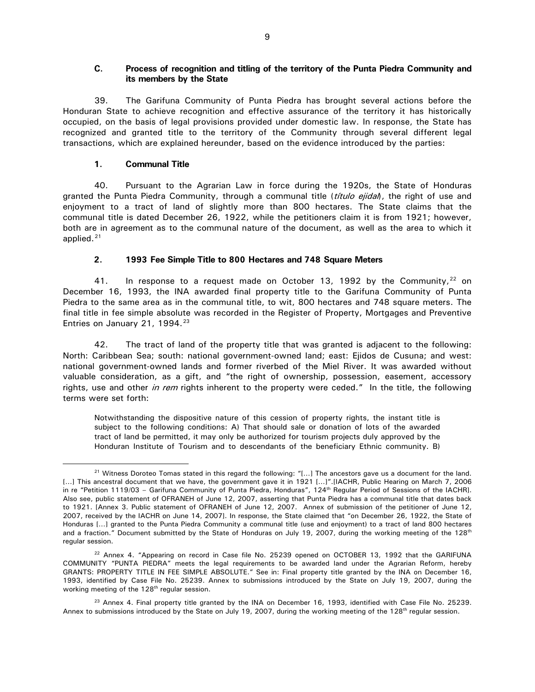### <span id="page-9-0"></span>**C. Process of recognition and titling of the territory of the Punta Piedra Community and its members by the State**

39. The Garifuna Community of Punta Piedra has brought several actions before the Honduran State to achieve recognition and effective assurance of the territory it has historically occupied, on the basis of legal provisions provided under domestic law. In response, the State has recognized and granted title to the territory of the Community through several different legal transactions, which are explained hereunder, based on the evidence introduced by the parties:

### **1. Communal Title**

<span id="page-9-1"></span>40. Pursuant to the Agrarian Law in force during the 1920s, the State of Honduras granted the Punta Piedra Community, through a communal title (titulo ejidal), the right of use and enjoyment to a tract of land of slightly more than 800 hectares. The State claims that the communal title is dated December 26, 1922, while the petitioners claim it is from 1921; however, both are in agreement as to the communal nature of the document, as well as the area to which it applied.<sup>[21](#page-9-3)</sup>

# **2. 1993 Fee Simple Title to 800 Hectares and 748 Square Meters**

<span id="page-9-2"></span>41. In response to a request made on October 13, 1992 by the Community,  $^{22}$  $^{22}$  $^{22}$  on December 16, 1993, the INA awarded final property title to the Garifuna Community of Punta Piedra to the same area as in the communal title, to wit, 800 hectares and 748 square meters. The final title in fee simple absolute was recorded in the Register of Property, Mortgages and Preventive Entries on January 21, 1994. $23$ 

42. The tract of land of the property title that was granted is adjacent to the following: North: Caribbean Sea; south: national government-owned land; east: Ejidos de Cusuna; and west: national government-owned lands and former riverbed of the Miel River. It was awarded without valuable consideration, as a gift, and "the right of ownership, possession, easement, accessory rights, use and other in rem rights inherent to the property were ceded." In the title, the following terms were set forth:

Notwithstanding the dispositive nature of this cession of property rights, the instant title is subject to the following conditions: A) That should sale or donation of lots of the awarded tract of land be permitted, it may only be authorized for tourism projects duly approved by the Honduran Institute of Tourism and to descendants of the beneficiary Ethnic community. B)

<span id="page-9-3"></span><sup>&</sup>lt;sup>21</sup> Witness Doroteo Tomas stated in this regard the following: "[...] The ancestors gave us a document for the land. [...] This ancestral document that we have, the government gave it in 1921 [...]".[IACHR, Public Hearing on March 7, 2006 in re "Petition 1119/03 - Garifuna Community of Punta Piedra, Honduras", 124<sup>th</sup> Regular Period of Sessions of the IACHR]. Also see, public statement of OFRANEH of June 12, 2007, asserting that Punta Piedra has a communal title that dates back to 1921. [Annex 3. Public statement of OFRANEH of June 12, 2007. Annex of submission of the petitioner of June 12, 2007, received by the IACHR on June 14, 2007]. In response, the State claimed that "on December 26, 1922, the State of Honduras […] granted to the Punta Piedra Community a communal title (use and enjoyment) to a tract of land 800 hectares and a fraction." Document submitted by the State of Honduras on July 19, 2007, during the working meeting of the 128<sup>th</sup> regular session.

<span id="page-9-4"></span> $22$  Annex 4. "Appearing on record in Case file No. 25239 opened on OCTOBER 13, 1992 that the GARIFUNA COMMUNITY "PUNTA PIEDRA" meets the legal requirements to be awarded land under the Agrarian Reform, hereby GRANTS: PROPERTY TITLE IN FEE SIMPLE ABSOLUTE." See in: Final property title granted by the INA on December 16, 1993, identified by Case File No. 25239. Annex to submissions introduced by the State on July 19, 2007, during the working meeting of the 128<sup>th</sup> regular session.

<span id="page-9-5"></span> $23$  Annex 4. Final property title granted by the INA on December 16, 1993, identified with Case File No. 25239. Annex to submissions introduced by the State on July 19, 2007, during the working meeting of the  $128<sup>th</sup>$  regular session.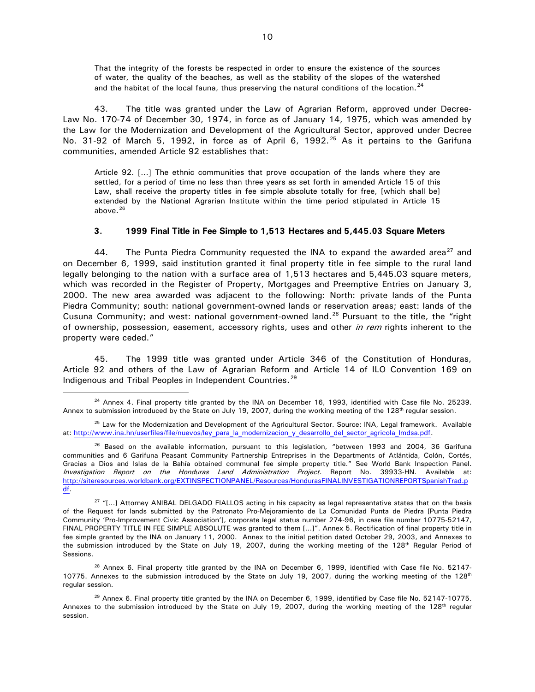That the integrity of the forests be respected in order to ensure the existence of the sources of water, the quality of the beaches, as well as the stability of the slopes of the watershed and the habitat of the local fauna, thus preserving the natural conditions of the location.<sup>[24](#page-10-1)</sup>

43. The title was granted under the Law of Agrarian Reform, approved under Decree-Law No. 170-74 of December 30, 1974, in force as of January 14, 1975, which was amended by the Law for the Modernization and Development of the Agricultural Sector, approved under Decree No. 31-92 of March 5, 1992, in force as of April 6, 1992.<sup>[25](#page-10-2)</sup> As it pertains to the Garifuna communities, amended Article 92 establishes that:

Article 92. […] The ethnic communities that prove occupation of the lands where they are settled, for a period of time no less than three years as set forth in amended Article 15 of this Law, shall receive the property titles in fee simple absolute totally for free, [which shall be] extended by the National Agrarian Institute within the time period stipulated in Article 15 above. $26$ 

#### **3. 1999 Final Title in Fee Simple to 1,513 Hectares and 5,445.03 Square Meters**

<span id="page-10-0"></span>44. The Punta Piedra Community requested the INA to expand the awarded area<sup>[27](#page-10-4)</sup> and on December 6, 1999, said institution granted it final property title in fee simple to the rural land legally belonging to the nation with a surface area of 1,513 hectares and 5,445.03 square meters, which was recorded in the Register of Property, Mortgages and Preemptive Entries on January 3, 2000. The new area awarded was adjacent to the following: North: private lands of the Punta Piedra Community; south: national government-owned lands or reservation areas; east: lands of the Cusuna Community; and west: national government-owned land.<sup>[28](#page-10-5)</sup> Pursuant to the title, the "right of ownership, possession, easement, accessory rights, uses and other in rem rights inherent to the property were ceded."

45. The 1999 title was granted under Article 346 of the Constitution of Honduras, Article 92 and others of the Law of Agrarian Reform and Article 14 of ILO Convention 169 on Indigenous and Tribal Peoples in Independent Countries.<sup>[29](#page-10-6)</sup>

<span id="page-10-1"></span> $24$  Annex 4. Final property title granted by the INA on December 16, 1993, identified with Case file No. 25239. Annex to submission introduced by the State on July 19, 2007, during the working meeting of the 128<sup>th</sup> regular session.

<span id="page-10-2"></span><sup>&</sup>lt;sup>25</sup> Law for the Modernization and Development of the Agricultural Sector. Source: INA, Legal framework. Available at: [http://www.ina.hn/userfiles/file/nuevos/ley\\_para\\_la\\_modernizacion\\_y\\_desarrollo\\_del\\_sector\\_agricola\\_lmdsa.pdf.](http://www.ina.hn/userfiles/file/nuevos/ley_para_la_modernizacion_y_desarrollo_del_sector_agricola_lmdsa.pdf)

<span id="page-10-3"></span><sup>&</sup>lt;sup>26</sup> Based on the available information, pursuant to this legislation, "between 1993 and 2004, 36 Garifuna communities and 6 Garifuna Peasant Community Partnership Entreprises in the Departments of Atlántida, Colón, Cortés, Gracias a Dios and Islas de la Bahía obtained communal fee simple property title." See World Bank Inspection Panel. Investigation Report on the Honduras Land Administration Project. Report No. 39933-HN. Available at: [http://siteresources.worldbank.org/EXTINSPECTIONPANEL/Resources/HondurasFINALINVESTIGATIONREPORTSpanishTrad.p](http://siteresources.worldbank.org/EXTINSPECTIONPANEL/Resources/HondurasFINALINVESTIGATIONREPORTSpanishTrad.pdf) [df.](http://siteresources.worldbank.org/EXTINSPECTIONPANEL/Resources/HondurasFINALINVESTIGATIONREPORTSpanishTrad.pdf)

<span id="page-10-4"></span> $27$  "[...] Attorney ANIBAL DELGADO FIALLOS acting in his capacity as legal representative states that on the basis of the Request for lands submitted by the Patronato Pro-Mejoramiento de La Comunidad Punta de Piedra [Punta Piedra Community 'Pro-Improvement Civic Association'], corporate legal status number 274-96, in case file number 10775-52147, FINAL PROPERTY TITLE IN FEE SIMPLE ABSOLUTE was granted to them […]". Annex 5. Rectification of final property title in fee simple granted by the INA on January 11, 2000. Annex to the initial petition dated October 29, 2003, and Annexes to the submission introduced by the State on July 19, 2007, during the working meeting of the 128<sup>th</sup> Regular Period of Sessions.

<span id="page-10-5"></span> $^{28}$  Annex 6. Final property title granted by the INA on December 6, 1999, identified with Case file No. 52147-10775. Annexes to the submission introduced by the State on July 19, 2007, during the working meeting of the  $128<sup>th</sup>$ regular session.

<span id="page-10-6"></span> $^{29}$  Annex 6. Final property title granted by the INA on December 6, 1999, identified by Case file No. 52147-10775. Annexes to the submission introduced by the State on July 19, 2007, during the working meeting of the 128<sup>th</sup> regular session.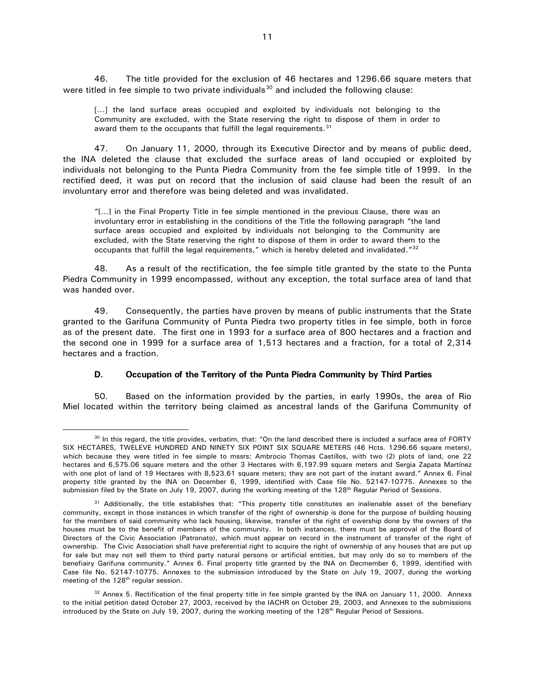46. The title provided for the exclusion of 46 hectares and 1296.66 square meters that were titled in fee simple to two private individuals<sup>[30](#page-11-1)</sup> and included the following clause:

[...] the land surface areas occupied and exploited by individuals not belonging to the Community are excluded, with the State reserving the right to dispose of them in order to award them to the occupants that fulfill the legal requirements.<sup>[31](#page-11-2)</sup>

47. On January 11, 2000, through its Executive Director and by means of public deed, the INA deleted the clause that excluded the surface areas of land occupied or exploited by individuals not belonging to the Punta Piedra Community from the fee simple title of 1999. In the rectified deed, it was put on record that the inclusion of said clause had been the result of an involuntary error and therefore was being deleted and was invalidated.

"[…] in the Final Property Title in fee simple mentioned in the previous Clause, there was an involuntary error in establishing in the conditions of the Title the following paragraph "the land surface areas occupied and exploited by individuals not belonging to the Community are excluded, with the State reserving the right to dispose of them in order to award them to the occupants that fulfill the legal requirements," which is hereby deleted and invalidated."[32](#page-11-3)

48. As a result of the rectification, the fee simple title granted by the state to the Punta Piedra Community in 1999 encompassed, without any exception, the total surface area of land that was handed over.

49. Consequently, the parties have proven by means of public instruments that the State granted to the Garifuna Community of Punta Piedra two property titles in fee simple, both in force as of the present date. The first one in 1993 for a surface area of 800 hectares and a fraction and the second one in 1999 for a surface area of 1,513 hectares and a fraction, for a total of 2,314 hectares and a fraction.

### **D. Occupation of the Territory of the Punta Piedra Community by Third Parties**

<span id="page-11-0"></span>50. Based on the information provided by the parties, in early 1990s, the area of Rio Miel located within the territory being claimed as ancestral lands of the Garifuna Community of

<span id="page-11-1"></span> $30$  In this regard, the title provides, verbatim, that: "On the land described there is included a surface area of FORTY SIX HECTARES, TWELEVE HUNDRED AND NINETY SIX POINT SIX SQUARE METERS (46 Hcts. 1296.66 square meters), which because they were titled in fee simple to mssrs: Ambrocio Thomas Castillos, with two (2) plots of land, one 22 hectares and 6,575.06 square meters and the other 3 Hectares with 6,197.99 square meters and Sergia Zapata Martínez with one plot of land of 19 Hectares with 8,523.61 square meters; they are not part of the instant award." Annex 6. Final property title granted by the INA on December 6, 1999, identified with Case file No. 52147-10775. Annexes to the submission filed by the State on July 19, 2007, during the working meeting of the 128<sup>th</sup> Regular Period of Sessions.

<span id="page-11-2"></span><sup>&</sup>lt;sup>31</sup> Additionally, the title establishes that: "This property title constitutes an inalienable asset of the benefiary community, except in those instances in which transfer of the right of ownership is done for the purpose of building housing for the members of said community who lack housing, likewise, transfer of the right of owership done by the owners of the houses must be to the benefit of members of the community. In both instances, there must be approval of the Board of Directors of the Civic Association (Patronato), which must appear on record in the instrument of transfer of the right of ownership. The Civic Association shall have preferential right to acquire the right of ownership of any houses that are put up for sale but may not sell them to third party natural persons or artificial entities, but may only do so to members of the benefiairy Garifuna community." Annex 6. Final property title granted by the INA on Decmember 6, 1999, identified with Case file No. 52147-10775. Annexes to the submission introduced by the State on July 19, 2007, during the working meeting of the 128<sup>th</sup> regular session.

<span id="page-11-3"></span> $32$  Annex 5. Rectification of the final property title in fee simple granted by the INA on January 11, 2000. Annexs to the initial petition dated October 27, 2003, received by the IACHR on October 29, 2003, and Annexes to the submissions introduced by the State on July 19, 2007, during the working meeting of the 128<sup>th</sup> Regular Period of Sessions.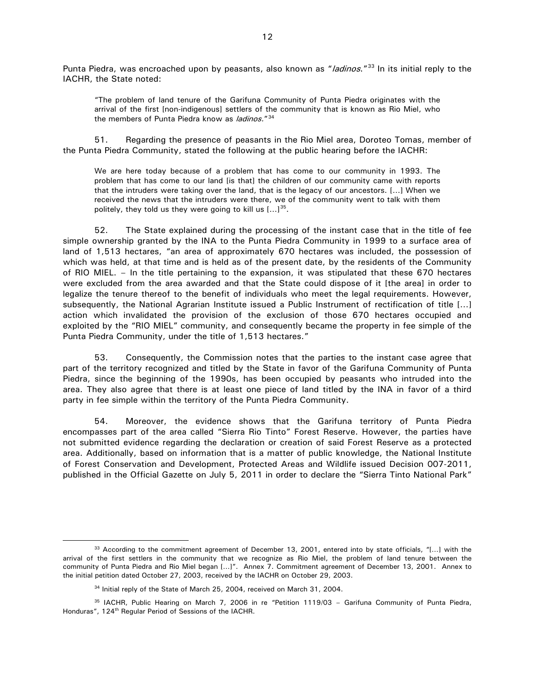Punta Piedra, was encroached upon by peasants, also known as "*ladinos*."<sup>[33](#page-12-0)</sup> In its initial reply to the IACHR, the State noted:

"The problem of land tenure of the Garifuna Community of Punta Piedra originates with the arrival of the first [non-indigenous] settlers of the community that is known as Rio Miel, who the members of Punta Piedra know as *ladinos.*"<sup>[34](#page-12-1)</sup>

51. Regarding the presence of peasants in the Rio Miel area, Doroteo Tomas, member of the Punta Piedra Community, stated the following at the public hearing before the IACHR:

We are here today because of a problem that has come to our community in 1993. The problem that has come to our land [is that] the children of our community came with reports that the intruders were taking over the land, that is the legacy of our ancestors. […] When we received the news that the intruders were there, we of the community went to talk with them politely, they told us they were going to kill us  $[...]^{35}$ .

52. The State explained during the processing of the instant case that in the title of fee simple ownership granted by the INA to the Punta Piedra Community in 1999 to a surface area of land of 1,513 hectares, "an area of approximately 670 hectares was included, the possession of which was held, at that time and is held as of the present date, by the residents of the Community of RIO MIEL. – In the title pertaining to the expansion, it was stipulated that these 670 hectares were excluded from the area awarded and that the State could dispose of it [the area] in order to legalize the tenure thereof to the benefit of individuals who meet the legal requirements. However, subsequently, the National Agrarian Institute issued a Public Instrument of rectification of title […] action which invalidated the provision of the exclusion of those 670 hectares occupied and exploited by the "RIO MIEL" community, and consequently became the property in fee simple of the Punta Piedra Community, under the title of 1,513 hectares."

53. Consequently, the Commission notes that the parties to the instant case agree that part of the territory recognized and titled by the State in favor of the Garifuna Community of Punta Piedra, since the beginning of the 1990s, has been occupied by peasants who intruded into the area. They also agree that there is at least one piece of land titled by the INA in favor of a third party in fee simple within the territory of the Punta Piedra Community.

54. Moreover, the evidence shows that the Garifuna territory of Punta Piedra encompasses part of the area called "Sierra Rio Tinto" Forest Reserve. However, the parties have not submitted evidence regarding the declaration or creation of said Forest Reserve as a protected area. Additionally, based on information that is a matter of public knowledge, the National Institute of Forest Conservation and Development, Protected Areas and Wildlife issued Decision 007-2011, published in the Official Gazette on July 5, 2011 in order to declare the "Sierra Tinto National Park"

<span id="page-12-0"></span> $33$  According to the commitment agreement of December 13, 2001, entered into by state officials, "[...] with the arrival of the first settlers in the community that we recognize as Rio Miel, the problem of land tenure between the community of Punta Piedra and Rio Miel began […]". Annex 7. Commitment agreement of December 13, 2001. Annex to the initial petition dated October 27, 2003, received by the IACHR on October 29, 2003.

<sup>&</sup>lt;sup>34</sup> Initial reply of the State of March 25, 2004, received on March 31, 2004.

<span id="page-12-2"></span><span id="page-12-1"></span><sup>&</sup>lt;sup>35</sup> IACHR, Public Hearing on March 7, 2006 in re "Petition 1119/03 - Garifuna Community of Punta Piedra, Honduras", 124<sup>th</sup> Regular Period of Sessions of the IACHR.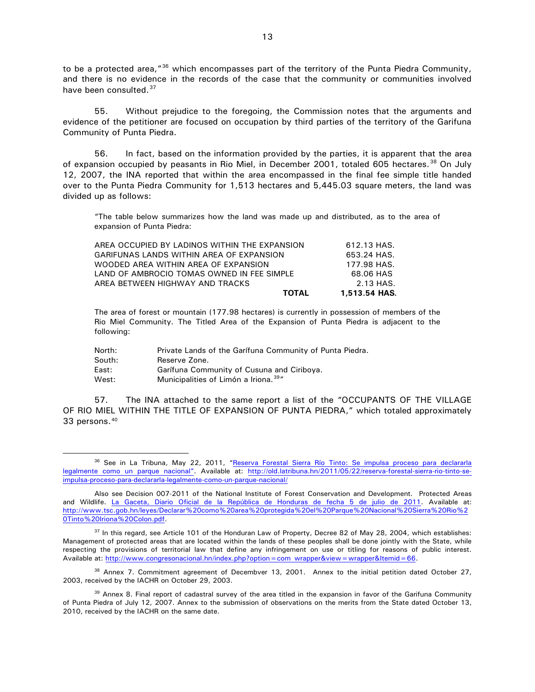to be a protected area,"<sup>[36](#page-13-0)</sup> which encompasses part of the territory of the Punta Piedra Community, and there is no evidence in the records of the case that the community or communities involved have been consulted.<sup>[37](#page-13-1)</sup>

55. Without prejudice to the foregoing, the Commission notes that the arguments and evidence of the petitioner are focused on occupation by third parties of the territory of the Garifuna Community of Punta Piedra.

56. In fact, based on the information provided by the parties, it is apparent that the area of expansion occupied by peasants in Rio Miel, in December 2001, totaled 605 hectares.<sup>[38](#page-13-2)</sup> On July 12, 2007, the INA reported that within the area encompassed in the final fee simple title handed over to the Punta Piedra Community for 1,513 hectares and 5,445.03 square meters, the land was divided up as follows:

"The table below summarizes how the land was made up and distributed, as to the area of expansion of Punta Piedra:

| <b>TOTAL</b>                                  | 1,513.54 HAS. |
|-----------------------------------------------|---------------|
| AREA BETWEEN HIGHWAY AND TRACKS               | 2.13 HAS.     |
| LAND OF AMBROCIO TOMAS OWNED IN FEE SIMPLE    | 68.06 HAS     |
| WOODED AREA WITHIN AREA OF EXPANSION          | 177.98 HAS.   |
| GARIFUNAS LANDS WITHIN AREA OF EXPANSION      | 653.24 HAS.   |
| AREA OCCUPIED BY LADINOS WITHIN THE EXPANSION | 612.13 HAS.   |

The area of forest or mountain (177.98 hectares) is currently in possession of members of the Rio Miel Community. The Titled Area of the Expansion of Punta Piedra is adjacent to the following:

| North: | Private Lands of the Garifuna Community of Punta Piedra. |
|--------|----------------------------------------------------------|
| South: | Reserve Zone.                                            |
| East:  | Garífuna Community of Cusuna and Ciriboya.               |
| West:  | Municipalities of Limón a Iriona. <sup>39"</sup>         |

57. The INA attached to the same report a list of the "OCCUPANTS OF THE VILLAGE OF RIO MIEL WITHIN THE TITLE OF EXPANSION OF PUNTA PIEDRA," which totaled approximately 33 persons.[40](#page-13-4)

<span id="page-13-2"></span><sup>38</sup> Annex 7. Commitment agreement of Decembver 13, 2001. Annex to the initial petition dated October 27, 2003, received by the IACHR on October 29, 2003.

<span id="page-13-3"></span><sup>39</sup> Annex 8. Final report of cadastral survey of the area titled in the expansion in favor of the Garifuna Community of Punta Piedra of July 12, 2007. Annex to the submission of observations on the merits from the State dated October 13, 2010, received by the IACHR on the same date.

<span id="page-13-0"></span><sup>36</sup> See in La Tribuna, May 22, 2011, "Reserva Forestal Sierra Río Tinto: Se impulsa proceso para declararla [legalmente como un parque nacional".](http://old.latribuna.hn/2011/05/22/reserva-forestal-sierra-rio-tinto-se-impulsa-proceso-para-declararla-legalmente-como-un-parque-nacional/) Available at: [http://old.latribuna.hn/2011/05/22/reserva-forestal-sierra-rio-tinto-se](http://old.latribuna.hn/2011/05/22/reserva-forestal-sierra-rio-tinto-se-impulsa-proceso-para-declararla-legalmente-como-un-parque-nacional/)[impulsa-proceso-para-declararla-legalmente-como-un-parque-nacional/](http://old.latribuna.hn/2011/05/22/reserva-forestal-sierra-rio-tinto-se-impulsa-proceso-para-declararla-legalmente-como-un-parque-nacional/)

Also see Decision 007-2011 of the National Institute of Forest Conservation and Development. Protected Areas and Wildlife. [La Gaceta, Diario Oficial de la República de Honduras de fecha 5 de julio de 2011.](http://www.tsc.gob.hn/leyes/Declarar%20como%20area%20protegida%20el%20Parque%20Nacional%20Sierra%20Rio%20Tinto%20Iriona%20Colon.pdf) Available at: [http://www.tsc.gob.hn/leyes/Declarar%20como%20area%20protegida%20el%20Parque%20Nacional%20Sierra%20Rio%2](http://www.tsc.gob.hn/leyes/Declarar%20como%20area%20protegida%20el%20Parque%20Nacional%20Sierra%20Rio%20Tinto%20Iriona%20Colon.pdf) [0Tinto%20Iriona%20Colon.pdf.](http://www.tsc.gob.hn/leyes/Declarar%20como%20area%20protegida%20el%20Parque%20Nacional%20Sierra%20Rio%20Tinto%20Iriona%20Colon.pdf)

<span id="page-13-4"></span><span id="page-13-1"></span><sup>&</sup>lt;sup>37</sup> In this regard, see Article 101 of the Honduran Law of Property, Decree 82 of May 28, 2004, which establishes: Management of protected areas that are located within the lands of these peoples shall be done jointly with the State, while respecting the provisions of territorial law that define any infringement on use or titling for reasons of public interest. Available at[: http://www.congresonacional.hn/index.php?option=com\\_wrapper&view=wrapper&Itemid=66.](http://www.congresonacional.hn/index.php?option=com_wrapper&view=wrapper&Itemid=66)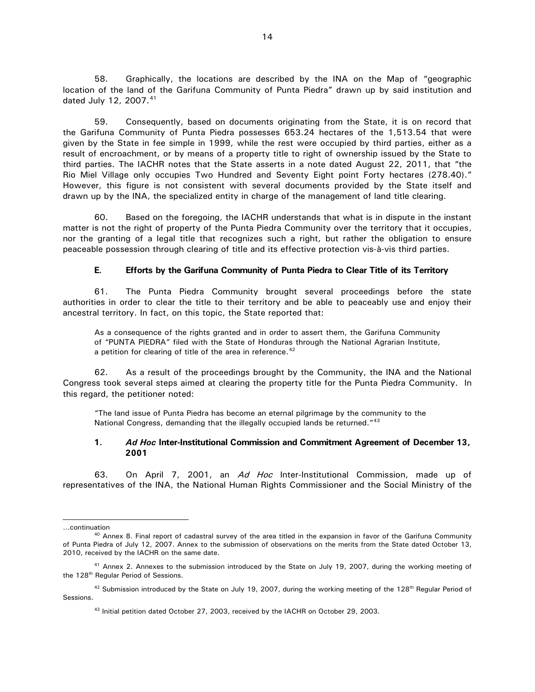58. Graphically, the locations are described by the INA on the Map of "geographic location of the land of the Garifuna Community of Punta Piedra" drawn up by said institution and dated July 12, 2007.<sup>[41](#page-14-2)</sup>

59. Consequently, based on documents originating from the State, it is on record that the Garifuna Community of Punta Piedra possesses 653.24 hectares of the 1,513.54 that were given by the State in fee simple in 1999, while the rest were occupied by third parties, either as a result of encroachment, or by means of a property title to right of ownership issued by the State to third parties. The IACHR notes that the State asserts in a note dated August 22, 2011, that "the Rio Miel Village only occupies Two Hundred and Seventy Eight point Forty hectares (278.40)." However, this figure is not consistent with several documents provided by the State itself and drawn up by the INA, the specialized entity in charge of the management of land title clearing.

60. Based on the foregoing, the IACHR understands that what is in dispute in the instant matter is not the right of property of the Punta Piedra Community over the territory that it occupies, nor the granting of a legal title that recognizes such a right, but rather the obligation to ensure peaceable possession through clearing of title and its effective protection vis-à-vis third parties.

### **E. Efforts by the Garifuna Community of Punta Piedra to Clear Title of its Territory**

<span id="page-14-0"></span>61. The Punta Piedra Community brought several proceedings before the state authorities in order to clear the title to their territory and be able to peaceably use and enjoy their ancestral territory. In fact, on this topic, the State reported that:

As a consequence of the rights granted and in order to assert them, the Garifuna Community of "PUNTA PIEDRA" filed with the State of Honduras through the National Agrarian Institute, a petition for clearing of title of the area in reference.<sup>[42](#page-14-3)</sup>

62. As a result of the proceedings brought by the Community, the INA and the National Congress took several steps aimed at clearing the property title for the Punta Piedra Community. In this regard, the petitioner noted:

"The land issue of Punta Piedra has become an eternal pilgrimage by the community to the National Congress, demanding that the illegally occupied lands be returned."<sup>43</sup>

#### <span id="page-14-1"></span>**1.** *Ad Hoc* **Inter-Institutional Commission and Commitment Agreement of December 13, 2001**

63. On April 7, 2001, an Ad Hoc Inter-Institutional Commission, made up of representatives of the INA, the National Human Rights Commissioner and the Social Ministry of the

 $\ddot{\phantom{0}}$ 

<sup>…</sup>continuation

 $^{40}$  Annex 8. Final report of cadastral survey of the area titled in the expansion in favor of the Garifuna Community of Punta Piedra of July 12, 2007. Annex to the submission of observations on the merits from the State dated October 13, 2010, received by the IACHR on the same date.

<span id="page-14-2"></span><sup>41</sup> Annex 2. Annexes to the submission introduced by the State on July 19, 2007, during the working meeting of the 128<sup>th</sup> Regular Period of Sessions.

<span id="page-14-4"></span><span id="page-14-3"></span> $42$  Submission introduced by the State on July 19, 2007, during the working meeting of the 128<sup>th</sup> Regular Period of Sessions.

<sup>43</sup> Initial petition dated October 27, 2003, received by the IACHR on October 29, 2003.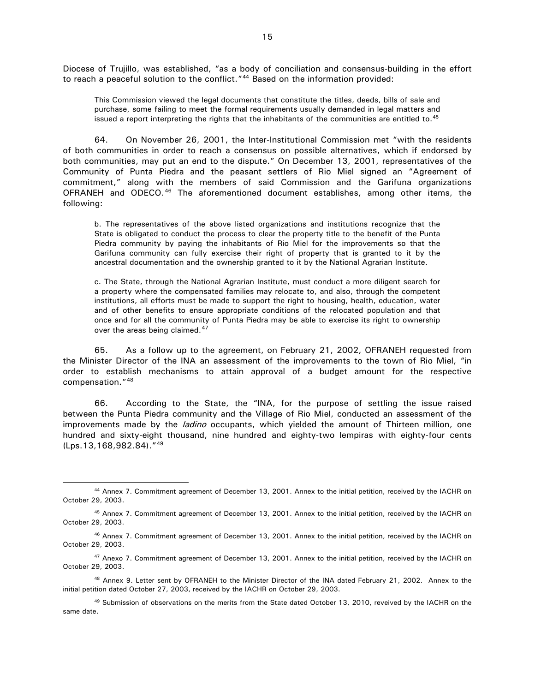Diocese of Trujillo, was established, "as a body of conciliation and consensus-building in the effort to reach a peaceful solution to the conflict."<sup>[44](#page-15-0)</sup> Based on the information provided:

This Commission viewed the legal documents that constitute the titles, deeds, bills of sale and purchase, some failing to meet the formal requirements usually demanded in legal matters and issued a report interpreting the rights that the inhabitants of the communities are entitled to.<sup>[45](#page-15-1)</sup>

64. On November 26, 2001, the Inter-Institutional Commission met "with the residents of both communities in order to reach a consensus on possible alternatives, which if endorsed by both communities, may put an end to the dispute." On December 13, 2001, representatives of the Community of Punta Piedra and the peasant settlers of Rio Miel signed an "Agreement of commitment," along with the members of said Commission and the Garifuna organizations OFRANEH and ODECO.[46](#page-15-2) The aforementioned document establishes, among other items, the following:

b. The representatives of the above listed organizations and institutions recognize that the State is obligated to conduct the process to clear the property title to the benefit of the Punta Piedra community by paying the inhabitants of Rio Miel for the improvements so that the Garifuna community can fully exercise their right of property that is granted to it by the ancestral documentation and the ownership granted to it by the National Agrarian Institute.

c. The State, through the National Agrarian Institute, must conduct a more diligent search for a property where the compensated families may relocate to, and also, through the competent institutions, all efforts must be made to support the right to housing, health, education, water and of other benefits to ensure appropriate conditions of the relocated population and that once and for all the community of Punta Piedra may be able to exercise its right to ownership over the areas being claimed.<sup>[47](#page-15-3)</sup>

65. As a follow up to the agreement, on February 21, 2002, OFRANEH requested from the Minister Director of the INA an assessment of the improvements to the town of Rio Miel, "in order to establish mechanisms to attain approval of a budget amount for the respective compensation."[48](#page-15-4)

66. According to the State, the "INA, for the purpose of settling the issue raised between the Punta Piedra community and the Village of Rio Miel, conducted an assessment of the improvements made by the *ladino* occupants, which yielded the amount of Thirteen million, one hundred and sixty-eight thousand, nine hundred and eighty-two lempiras with eighty-four cents (Lps.13,168,982.84)."[49](#page-15-5)

<span id="page-15-0"></span> <sup>44</sup> Annex 7. Commitment agreement of December 13, 2001. Annex to the initial petition, received by the IACHR on October 29, 2003.

<span id="page-15-1"></span><sup>45</sup> Annex 7. Commitment agreement of December 13, 2001. Annex to the initial petition, received by the IACHR on October 29, 2003.

<span id="page-15-2"></span><sup>&</sup>lt;sup>46</sup> Annex 7. Commitment agreement of December 13, 2001. Annex to the initial petition, received by the IACHR on October 29, 2003.

<span id="page-15-3"></span><sup>&</sup>lt;sup>47</sup> Anexo 7. Commitment agreement of December 13, 2001. Annex to the initial petition, received by the IACHR on October 29, 2003.

<span id="page-15-4"></span><sup>48</sup> Annex 9. Letter sent by OFRANEH to the Minister Director of the INA dated February 21, 2002. Annex to the initial petition dated October 27, 2003, received by the IACHR on October 29, 2003.

<span id="page-15-5"></span><sup>&</sup>lt;sup>49</sup> Submission of observations on the merits from the State dated October 13, 2010, reveived by the IACHR on the same date.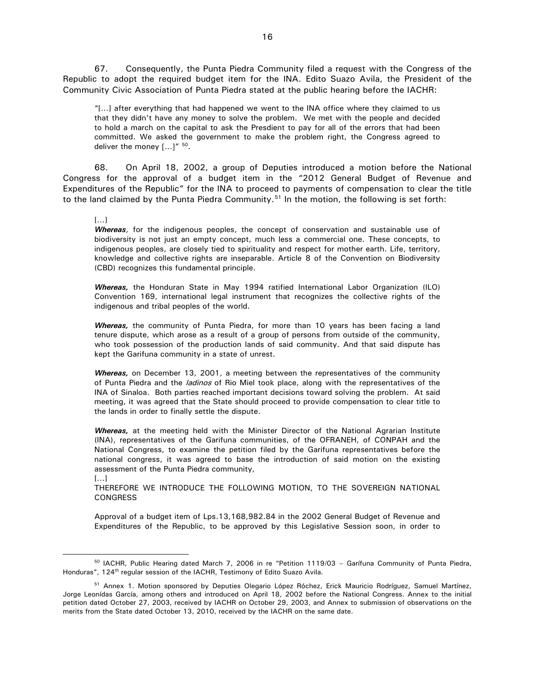67. Consequently, the Punta Piedra Community filed a request with the Congress of the Republic to adopt the required budget item for the INA. Edito Suazo Avila, the President of the Community Civic Association of Punta Piedra stated at the public hearing before the IACHR:

"[…] after everything that had happened we went to the INA office where they claimed to us that they didn't have any money to solve the problem. We met with the people and decided to hold a march on the capital to ask the Presdient to pay for all of the errors that had been committed. We asked the government to make the problem right, the Congress agreed to deliver the money  $[...]^{''50}$  $[...]^{''50}$  $[...]^{''50}$ .

68. On April 18, 2002, a group of Deputies introduced a motion before the National Congress for the approval of a budget item in the "2012 General Budget of Revenue and Expenditures of the Republic" for the INA to proceed to payments of compensation to clear the title to the land claimed by the Punta Piedra Community.<sup>[51](#page-16-1)</sup> In the motion, the following is set forth:

[…]

[…]

*Whereas*, for the indigenous peoples, the concept of conservation and sustainable use of biodiversity is not just an empty concept, much less a commercial one. These concepts, to indigenous peoples, are closely tied to spirituality and respect for mother earth. Life, territory, knowledge and collective rights are inseparable. Article 8 of the Convention on Biodiversity (CBD) recognizes this fundamental principle.

*Whereas,* the Honduran State in May 1994 ratified International Labor Organization (ILO) Convention 169, international legal instrument that recognizes the collective rights of the indigenous and tribal peoples of the world.

*Whereas,* the community of Punta Piedra, for more than 10 years has been facing a land tenure dispute, which arose as a result of a group of persons from outside of the community, who took possession of the production lands of said community. And that said dispute has kept the Garifuna community in a state of unrest.

*Whereas,* on December 13, 2001, a meeting between the representatives of the community of Punta Piedra and the *ladinos* of Rio Miel took place, along with the representatives of the INA of Sinaloa. Both parties reached important decisions toward solving the problem. At said meeting, it was agreed that the State should proceed to provide compensation to clear title to the lands in order to finally settle the dispute.

*Whereas,* at the meeting held with the Minister Director of the National Agrarian Institute (INA), representatives of the Garifuna communities, of the OFRANEH, of CONPAH and the National Congress, to examine the petition filed by the Garifuna representatives before the national congress, it was agreed to base the introduction of said motion on the existing assessment of the Punta Piedra community,

THEREFORE WE INTRODUCE THE FOLLOWING MOTION, TO THE SOVEREIGN NATIONAL **CONGRESS** 

Approval of a budget item of Lps.13,168,982.84 in the 2002 General Budget of Revenue and Expenditures of the Republic, to be approved by this Legislative Session soon, in order to

<span id="page-16-0"></span><sup>&</sup>lt;sup>50</sup> IACHR, Public Hearing dated March 7, 2006 in re "Petition 1119/03 - Garífuna Community of Punta Piedra, Honduras", 124<sup>th</sup> regular session of the IACHR, Testimony of Edito Suazo Avila.

<span id="page-16-1"></span><sup>&</sup>lt;sup>51</sup> Annex 1. Motion sponsored by Deputies Olegario López Róchez, Erick Mauricio Rodríguez, Samuel Martínez, Jorge Leonídas García, among others and introduced on April 18, 2002 before the National Congress. Annex to the initial petition dated October 27, 2003, received by IACHR on October 29, 2003, and Annex to submission of observations on the merits from the State dated October 13, 2010, received by the IACHR on the same date.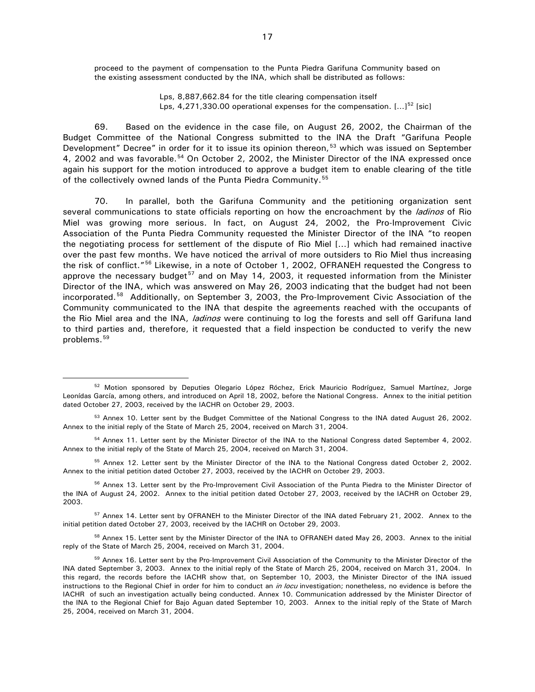proceed to the payment of compensation to the Punta Piedra Garifuna Community based on the existing assessment conducted by the INA, which shall be distributed as follows:

> Lps, 8,887,662.84 for the title clearing compensation itself Lps,  $4,271,330.00$  operational expenses for the compensation.  $[...]^{52}$  $[...]^{52}$  $[...]^{52}$  [sic]

69. Based on the evidence in the case file, on August 26, 2002, the Chairman of the Budget Committee of the National Congress submitted to the INA the Draft "Garifuna People Development" Decree" in order for it to issue its opinion thereon,<sup>[53](#page-17-1)</sup> which was issued on September 4, 2002 and was favorable.<sup>[54](#page-17-2)</sup> On October 2, 2002, the Minister Director of the INA expressed once again his support for the motion introduced to approve a budget item to enable clearing of the title of the collectively owned lands of the Punta Piedra Community.<sup>[55](#page-17-3)</sup>

70. In parallel, both the Garifuna Community and the petitioning organization sent several communications to state officials reporting on how the encroachment by the *ladinos* of Rio Miel was growing more serious. In fact, on August 24, 2002, the Pro-Improvement Civic Association of the Punta Piedra Community requested the Minister Director of the INA "to reopen the negotiating process for settlement of the dispute of Rio Miel […] which had remained inactive over the past few months. We have noticed the arrival of more outsiders to Rio Miel thus increasing the risk of conflict."<sup>[56](#page-17-4)</sup> Likewise, in a note of October 1, 2002, OFRANEH requested the Congress to approve the necessary budget<sup>[57](#page-17-5)</sup> and on May 14, 2003, it requested information from the Minister Director of the INA, which was answered on May 26, 2003 indicating that the budget had not been incorporated.[58](#page-17-6) Additionally, on September 3, 2003, the Pro-Improvement Civic Association of the Community communicated to the INA that despite the agreements reached with the occupants of the Rio Miel area and the INA, *ladinos* were continuing to log the forests and sell off Garifuna land to third parties and, therefore, it requested that a field inspection be conducted to verify the new problems. [59](#page-17-7)

<span id="page-17-0"></span><sup>&</sup>lt;sup>52</sup> Motion sponsored by Deputies Olegario López Róchez, Erick Mauricio Rodríguez, Samuel Martínez, Jorge Leonídas García, among others, and introduced on April 18, 2002, before the National Congress. Annex to the initial petition dated October 27, 2003, received by the IACHR on October 29, 2003.

<span id="page-17-1"></span><sup>&</sup>lt;sup>53</sup> Annex 10. Letter sent by the Budget Committee of the National Congress to the INA dated August 26, 2002. Annex to the initial reply of the State of March 25, 2004, received on March 31, 2004.

<span id="page-17-2"></span><sup>&</sup>lt;sup>54</sup> Annex 11. Letter sent by the Minister Director of the INA to the National Congress dated September 4, 2002. Annex to the initial reply of the State of March 25, 2004, received on March 31, 2004.

<span id="page-17-3"></span><sup>&</sup>lt;sup>55</sup> Annex 12. Letter sent by the Minister Director of the INA to the National Congress dated October 2, 2002. Annex to the initial petition dated October 27, 2003, received by the IACHR on October 29, 2003.

<span id="page-17-4"></span><sup>&</sup>lt;sup>56</sup> Annex 13. Letter sent by the Pro-Improvement Civil Association of the Punta Piedra to the Minister Director of the INA of August 24, 2002. Annex to the initial petition dated October 27, 2003, received by the IACHR on October 29, 2003.

<span id="page-17-5"></span><sup>&</sup>lt;sup>57</sup> Annex 14. Letter sent by OFRANEH to the Minister Director of the INA dated February 21, 2002. Annex to the initial petition dated October 27, 2003, received by the IACHR on October 29, 2003.

<span id="page-17-6"></span><sup>&</sup>lt;sup>58</sup> Annex 15. Letter sent by the Minister Director of the INA to OFRANEH dated May 26, 2003. Annex to the initial reply of the State of March 25, 2004, received on March 31, 2004.

<span id="page-17-7"></span><sup>&</sup>lt;sup>59</sup> Annex 16. Letter sent by the Pro-Improvement Civil Association of the Community to the Minister Director of the INA dated September 3, 2003. Annex to the initial reply of the State of March 25, 2004, received on March 31, 2004. In this regard, the records before the IACHR show that, on September 10, 2003, the Minister Director of the INA issued instructions to the Regional Chief in order for him to conduct an in locu investigation; nonetheless, no evidence is before the IACHR of such an investigation actually being conducted. Annex 10. Communication addressed by the Minister Director of the INA to the Regional Chief for Bajo Aguan dated September 10, 2003. Annex to the initial reply of the State of March 25, 2004, received on March 31, 2004.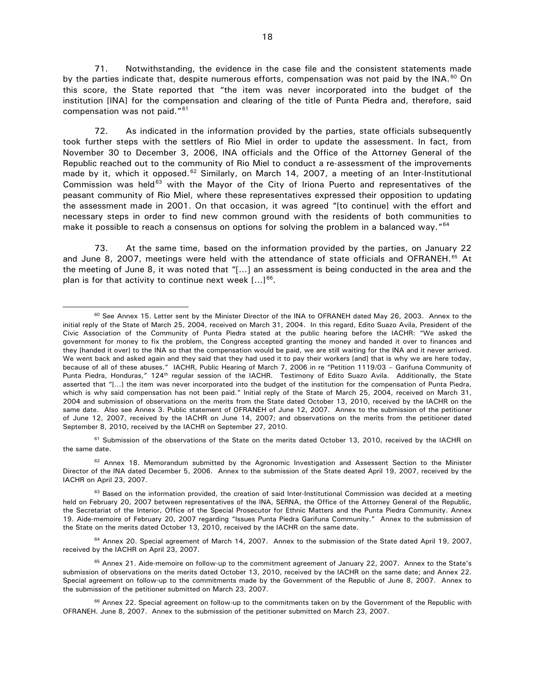71. Notwithstanding, the evidence in the case file and the consistent statements made by the parties indicate that, despite numerous efforts, compensation was not paid by the INA.<sup>[60](#page-18-0)</sup> On this score, the State reported that "the item was never incorporated into the budget of the institution [INA] for the compensation and clearing of the title of Punta Piedra and, therefore, said compensation was not paid."[61](#page-18-1)

72. As indicated in the information provided by the parties, state officials subsequently took further steps with the settlers of Rio Miel in order to update the assessment. In fact, from November 30 to December 3, 2006, INA officials and the Office of the Attorney General of the Republic reached out to the community of Rio Miel to conduct a re-assessment of the improvements made by it, which it opposed.<sup>[62](#page-18-2)</sup> Similarly, on March 14, 2007, a meeting of an Inter-Institutional Commission was held<sup>[63](#page-18-3)</sup> with the Mayor of the City of Iriona Puerto and representatives of the peasant community of Rio Miel, where these representatives expressed their opposition to updating the assessment made in 2001. On that occasion, it was agreed "[to continue] with the effort and necessary steps in order to find new common ground with the residents of both communities to make it possible to reach a consensus on options for solving the problem in a balanced way."<sup>[64](#page-18-4)</sup>

73. At the same time, based on the information provided by the parties, on January 22 and June 8, 2007, meetings were held with the attendance of state officials and OFRANEH.<sup>[65](#page-18-5)</sup> At the meeting of June 8, it was noted that "[…] an assessment is being conducted in the area and the plan is for that activity to continue next week  $[...]^{66}$  $[...]^{66}$  $[...]^{66}$ .

<span id="page-18-1"></span> $61$  Submission of the observations of the State on the merits dated October 13, 2010, received by the IACHR on the same date.

<span id="page-18-2"></span> $62$  Annex 18. Memorandum submitted by the Agronomic Investigation and Assessent Section to the Minister Director of the INA dated December 5, 2006. Annex to the submission of the State deated April 19, 2007, received by the IACHR on April 23, 2007.

<span id="page-18-4"></span><sup>64</sup> Annex 20. Special agreement of March 14, 2007. Annex to the submission of the State dated April 19, 2007, received by the IACHR on April 23, 2007.

<span id="page-18-0"></span><sup>&</sup>lt;sup>60</sup> See Annex 15. Letter sent by the Minister Director of the INA to OFRANEH dated May 26, 2003. Annex to the initial reply of the State of March 25, 2004, received on March 31, 2004. In this regard, Edito Suazo Avila, President of the Civic Association of the Community of Punta Piedra stated at the public hearing before the IACHR: "We asked the government for money to fix the problem, the Congress accepted granting the money and handed it over to finances and they [handed it over] to the INA so that the compensation would be paid, we are still waiting for the INA and it never arrived. We went back and asked again and they said that they had used it to pay their workers [and] that is why we are here today, because of all of these abuses." IACHR, Public Hearing of March 7, 2006 in re "Petition 1119/03 – Garifuna Community of Punta Piedra, Honduras," 124<sup>th</sup> regular session of the IACHR. Testimony of Edito Suazo Avila. Additionally, the State asserted that "[…] the item was never incorporated into the budget of the institution for the compensation of Punta Piedra, which is why said compensation has not been paid." Initial reply of the State of March 25, 2004, received on March 31, 2004 and submission of observations on the merits from the State dated October 13, 2010, received by the IACHR on the same date. Also see Annex 3. Public statement of OFRANEH of June 12, 2007. Annex to the submission of the petitioner of June 12, 2007, received by the IACHR on June 14, 2007; and observations on the merits from the petitioner dated September 8, 2010, received by the IACHR on September 27, 2010.

<span id="page-18-3"></span> $63$  Based on the information provided, the creation of said Inter-Institutional Commission was decided at a meeting held on February 20, 2007 between representatives of the INA, SERNA, the Office of the Attorney General of the Republic, the Secretariat of the Interior, Office of the Special Prosecutor for Ethnic Matters and the Punta Piedra Community. Annex 19. Aide-memoire of February 20, 2007 regarding "Issues Punta Piedra Garifuna Community." Annex to the submission of the State on the merits dated October 13, 2010, received by the IACHR on the same date.

<span id="page-18-5"></span><sup>&</sup>lt;sup>65</sup> Annex 21. Aide-memoire on follow-up to the commitment agreement of January 22, 2007. Annex to the State's submission of observations on the merits dated October 13, 2010, received by the IACHR on the same date; and Annex 22. Special agreement on follow-up to the commitments made by the Government of the Republic of June 8, 2007. Annex to the submission of the petitioner submitted on March 23, 2007.

<span id="page-18-6"></span><sup>&</sup>lt;sup>66</sup> Annex 22. Special agreement on follow-up to the commitments taken on by the Government of the Republic with OFRANEH. June 8, 2007. Annex to the submission of the petitioner submitted on March 23, 2007.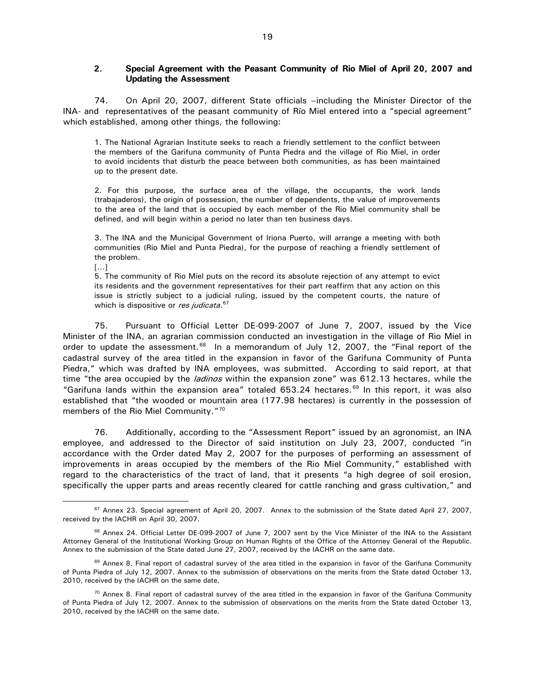### <span id="page-19-0"></span>**2. Special Agreement with the Peasant Community of Rio Miel of April 20, 2007 and Updating the Assessment**

74. On April 20, 2007, different State officials –including the Minister Director of the INA- and representatives of the peasant community of Río Miel entered into a "special agreement" which established, among other things, the following:

1. The National Agrarian Institute seeks to reach a friendly settlement to the conflict between the members of the Garifuna community of Punta Piedra and the village of Rio Miel, in order to avoid incidents that disturb the peace between both communities, as has been maintained up to the present date.

2. For this purpose, the surface area of the village, the occupants, the work lands (trabajaderos), the origin of possession, the number of dependents, the value of improvements to the area of the land that is occupied by each member of the Rio Miel community shall be defined, and will begin within a period no later than ten business days.

3. The INA and the Municipal Government of Iriona Puerto, will arrange a meeting with both communities (Rio Miel and Punta Piedra), for the purpose of reaching a friendly settlement of the problem.

[…]

5. The community of Rio Miel puts on the record its absolute rejection of any attempt to evict its residents and the government representatives for their part reaffirm that any action on this issue is strictly subject to a judicial ruling, issued by the competent courts, the nature of which is dispositive or res judicata.<sup>[67](#page-19-1)</sup>

75. Pursuant to Official Letter DE-099-2007 of June 7, 2007, issued by the Vice Minister of the INA, an agrarian commission conducted an investigation in the village of Rio Miel in order to update the assessment.<sup>68</sup> In a memorandum of July 12, 2007, the "Final report of the cadastral survey of the area titled in the expansion in favor of the Garifuna Community of Punta Piedra," which was drafted by INA employees, was submitted. According to said report, at that time "the area occupied by the *ladinos* within the expansion zone" was 612.13 hectares, while the "Garifuna lands within the expansion area" totaled  $653.24$  hectares.<sup>[69](#page-19-3)</sup> In this report, it was also established that "the wooded or mountain area (177.98 hectares) is currently in the possession of members of the Rio Miel Community."<sup>[70](#page-19-4)</sup>

76. Additionally, according to the "Assessment Report" issued by an agronomist, an INA employee, and addressed to the Director of said institution on July 23, 2007, conducted "in accordance with the Order dated May 2, 2007 for the purposes of performing an assessment of improvements in areas occupied by the members of the Rio Miel Community," established with regard to the characteristics of the tract of land, that it presents "a high degree of soil erosion, specifically the upper parts and areas recently cleared for cattle ranching and grass cultivation," and

<span id="page-19-1"></span><sup>&</sup>lt;sup>67</sup> Annex 23. Special agreement of April 20, 2007. Annex to the submission of the State dated April 27, 2007, received by the IACHR on April 30, 2007.

<span id="page-19-2"></span><sup>&</sup>lt;sup>68</sup> Annex 24. Official Letter DE-099-2007 of June 7, 2007 sent by the Vice Minister of the INA to the Assistant Attorney General of the Institutional Working Group on Human Rights of the Office of the Attorney General of the Republic. Annex to the submission of the State dated June 27, 2007, received by the IACHR on the same date.

<span id="page-19-3"></span><sup>&</sup>lt;sup>69</sup> Annex 8. Final report of cadastral survey of the area titled in the expansion in favor of the Garifuna Community of Punta Piedra of July 12, 2007. Annex to the submission of observations on the merits from the State dated October 13, 2010, received by the IACHR on the same date.

<span id="page-19-4"></span> $70$  Annex 8. Final report of cadastral survey of the area titled in the expansion in favor of the Garifuna Community of Punta Piedra of July 12, 2007. Annex to the submission of observations on the merits from the State dated October 13, 2010, received by the IACHR on the same date.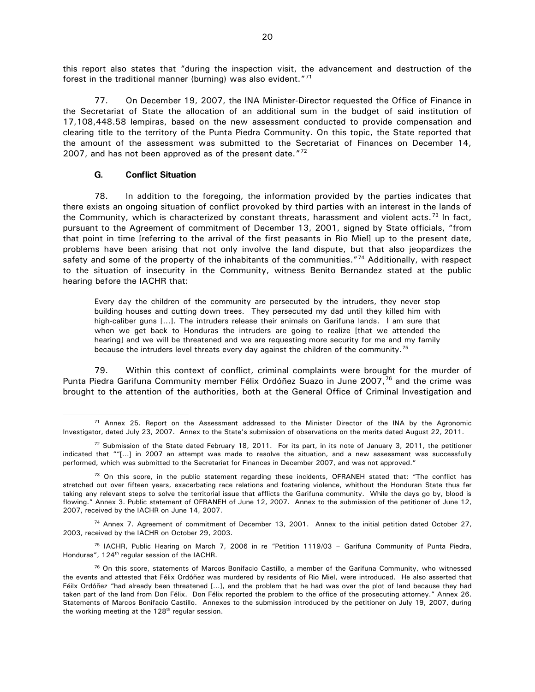this report also states that "during the inspection visit, the advancement and destruction of the forest in the traditional manner (burning) was also evident."[71](#page-20-1)

77. On December 19, 2007, the INA Minister-Director requested the Office of Finance in the Secretariat of State the allocation of an additional sum in the budget of said institution of 17,108,448.58 lempiras, based on the new assessment conducted to provide compensation and clearing title to the territory of the Punta Piedra Community. On this topic, the State reported that the amount of the assessment was submitted to the Secretariat of Finances on December 14, 2007, and has not been approved as of the present date. $172$  $172$ 

#### **G. Conflict Situation**

<span id="page-20-0"></span>78. In addition to the foregoing, the information provided by the parties indicates that there exists an ongoing situation of conflict provoked by third parties with an interest in the lands of the Community, which is characterized by constant threats, harassment and violent acts.<sup>[73](#page-20-3)</sup> In fact, pursuant to the Agreement of commitment of December 13, 2001, signed by State officials, "from that point in time [referring to the arrival of the first peasants in Rio Miel] up to the present date, problems have been arising that not only involve the land dispute, but that also jeopardizes the safety and some of the property of the inhabitants of the communities."<sup>[74](#page-20-4)</sup> Additionally, with respect to the situation of insecurity in the Community, witness Benito Bernandez stated at the public hearing before the IACHR that:

Every day the children of the community are persecuted by the intruders, they never stop building houses and cutting down trees. They persecuted my dad until they killed him with high-caliber guns […]. The intruders release their animals on Garifuna lands. I am sure that when we get back to Honduras the intruders are going to realize [that we attended the hearing] and we will be threatened and we are requesting more security for me and my family because the intruders level threats every day against the children of the community.<sup>[75](#page-20-5)</sup>

79. Within this context of conflict, criminal complaints were brought for the murder of Punta Piedra Garifuna Community member Félix Ordóñez Suazo in June 2007,<sup>[76](#page-20-6)</sup> and the crime was brought to the attention of the authorities, both at the General Office of Criminal Investigation and

<span id="page-20-4"></span><sup>74</sup> Annex 7. Agreement of commitment of December 13, 2001. Annex to the initial petition dated October 27, 2003, received by the IACHR on October 29, 2003.

<span id="page-20-5"></span><sup>75</sup> IACHR, Public Hearing on March 7, 2006 in re "Petition 1119/03 - Garifuna Community of Punta Piedra, Honduras",  $124<sup>th</sup>$  regular session of the IACHR.

<span id="page-20-1"></span><sup>&</sup>lt;sup>71</sup> Annex 25. Report on the Assessment addressed to the Minister Director of the INA by the Agronomic Investigator, dated July 23, 2007. Annex to the State's submission of observations on the merits dated August 22, 2011.

<span id="page-20-2"></span> $72$  Submission of the State dated February 18, 2011. For its part, in its note of January 3, 2011, the petitioner indicated that ""[…] in 2007 an attempt was made to resolve the situation, and a new assessment was successfully performed, which was submitted to the Secretariat for Finances in December 2007, and was not approved."

<span id="page-20-3"></span> $73$  On this score, in the public statement regarding these incidents, OFRANEH stated that: "The conflict has stretched out over fifteen years, exacerbating race relations and fostering violence, whithout the Honduran State thus far taking any relevant steps to solve the territorial issue that afflicts the Garifuna community. While the days go by, blood is flowing." Annex 3. Public statement of OFRANEH of June 12, 2007. Annex to the submission of the petitioner of June 12, 2007, received by the IACHR on June 14, 2007.

<span id="page-20-6"></span><sup>&</sup>lt;sup>76</sup> On this score, statements of Marcos Bonifacio Castillo, a member of the Garifuna Community, who witnessed the events and attested that Félix Ordóñez was murdered by residents of Rio Miel, were introduced. He also asserted that Féilx Ordóñez "had already been threatened […], and the problem that he had was over the plot of land because they had taken part of the land from Don Félix. Don Félix reported the problem to the office of the prosecuting attorney." Annex 26. Statements of Marcos Bonifacio Castillo. Annexes to the submission introduced by the petitioner on July 19, 2007, during the working meeting at the  $128<sup>th</sup>$  regular session.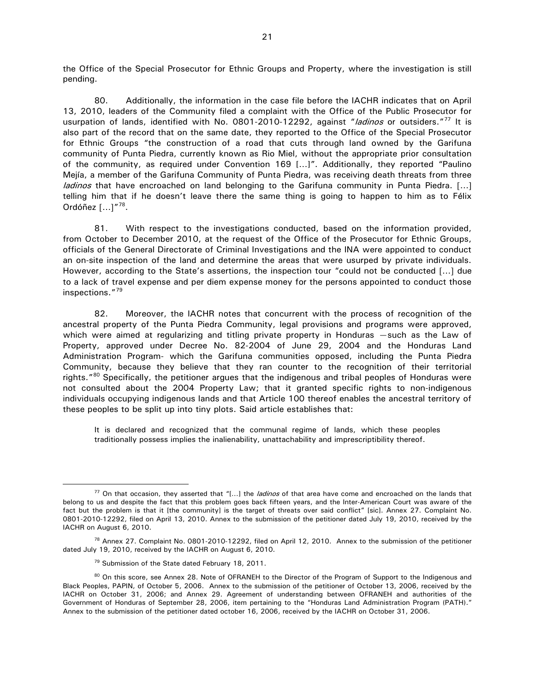the Office of the Special Prosecutor for Ethnic Groups and Property, where the investigation is still pending.

80. Additionally, the information in the case file before the IACHR indicates that on April 13, 2010, leaders of the Community filed a complaint with the Office of the Public Prosecutor for usurpation of lands, identified with No. 0801-2010-12292, against "ladinos or outsiders."<sup>[77](#page-21-0)</sup> It is also part of the record that on the same date, they reported to the Office of the Special Prosecutor for Ethnic Groups "the construction of a road that cuts through land owned by the Garifuna community of Punta Piedra, currently known as Rio Miel, without the appropriate prior consultation of the community, as required under Convention 169 […]". Additionally, they reported "Paulino Mejía, a member of the Garifuna Community of Punta Piedra, was receiving death threats from three *ladinos* that have encroached on land belonging to the Garifuna community in Punta Piedra.  $[...]$ telling him that if he doesn't leave there the same thing is going to happen to him as to Félix Ordóñez  $[...]^{''78}$  $[...]^{''78}$  $[...]^{''78}$ .

81. With respect to the investigations conducted, based on the information provided, from October to December 2010, at the request of the Office of the Prosecutor for Ethnic Groups, officials of the General Directorate of Criminal Investigations and the INA were appointed to conduct an on-site inspection of the land and determine the areas that were usurped by private individuals. However, according to the State's assertions, the inspection tour "could not be conducted […] due to a lack of travel expense and per diem expense money for the persons appointed to conduct those inspections."[79](#page-21-2)

82. Moreover, the IACHR notes that concurrent with the process of recognition of the ancestral property of the Punta Piedra Community, legal provisions and programs were approved, which were aimed at regularizing and titling private property in Honduras – such as the Law of Property, approved under Decree No. 82-2004 of June 29, 2004 and the Honduras Land Administration Program- which the Garifuna communities opposed, including the Punta Piedra Community, because they believe that they ran counter to the recognition of their territorial rights."<sup>[80](#page-21-3)</sup> Specifically, the petitioner argues that the indigenous and tribal peoples of Honduras were not consulted about the 2004 Property Law; that it granted specific rights to non-indigenous individuals occupying indigenous lands and that Article 100 thereof enables the ancestral territory of these peoples to be split up into tiny plots. Said article establishes that:

It is declared and recognized that the communal regime of lands, which these peoples traditionally possess implies the inalienability, unattachability and imprescriptibility thereof.

<span id="page-21-0"></span> $77$  On that occasion, they asserted that "[...] the *ladinos* of that area have come and encroached on the lands that belong to us and despite the fact that this problem goes back fifteen years, and the Inter-American Court was aware of the fact but the problem is that it [the community] is the target of threats over said conflict" [sic]. Annex 27. Complaint No. 0801-2010-12292, filed on April 13, 2010. Annex to the submission of the petitioner dated July 19, 2010, received by the IACHR on August 6, 2010.

<span id="page-21-1"></span><sup>&</sup>lt;sup>78</sup> Annex 27. Complaint No. 0801-2010-12292, filed on April 12, 2010. Annex to the submission of the petitioner dated July 19, 2010, received by the IACHR on August 6, 2010.

<sup>&</sup>lt;sup>79</sup> Submission of the State dated February 18, 2011.

<span id="page-21-3"></span><span id="page-21-2"></span><sup>&</sup>lt;sup>80</sup> On this score, see Annex 28. Note of OFRANEH to the Director of the Program of Support to the Indigenous and Black Peoples, PAPIN, of October 5, 2006. Annex to the submission of the petitioner of October 13, 2006, received by the IACHR on October 31, 2006; and Annex 29. Agreement of understanding between OFRANEH and authorities of the Government of Honduras of September 28, 2006, item pertaining to the "Honduras Land Administration Program (PATH)." Annex to the submission of the petitioner dated october 16, 2006, received by the IACHR on October 31, 2006.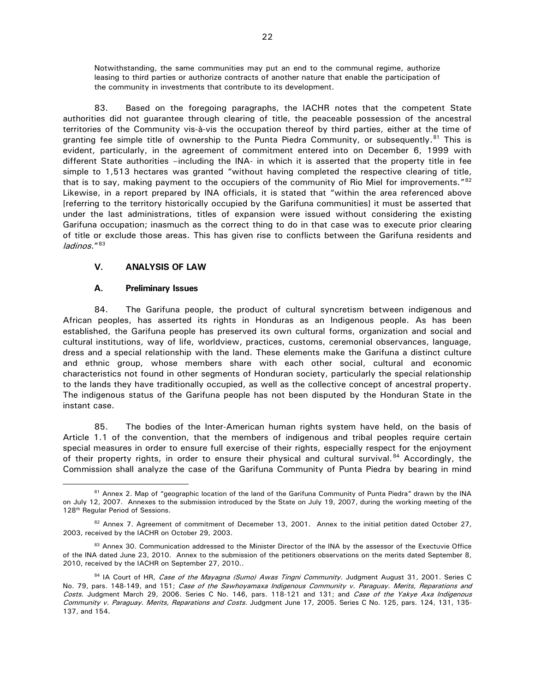Notwithstanding, the same communities may put an end to the communal regime, authorize leasing to third parties or authorize contracts of another nature that enable the participation of the community in investments that contribute to its development.

83. Based on the foregoing paragraphs, the IACHR notes that the competent State authorities did not guarantee through clearing of title, the peaceable possession of the ancestral territories of the Community vis-à-vis the occupation thereof by third parties, either at the time of granting fee simple title of ownership to the Punta Piedra Community, or subsequently.<sup>[81](#page-22-2)</sup> This is evident, particularly, in the agreement of commitment entered into on December 6, 1999 with different State authorities –including the INA- in which it is asserted that the property title in fee simple to 1,513 hectares was granted "without having completed the respective clearing of title, that is to say, making payment to the occupiers of the community of Rio Miel for improvements."<sup>[82](#page-22-3)</sup> Likewise, in a report prepared by INA officials, it is stated that "within the area referenced above [referring to the territory historically occupied by the Garifuna communities] it must be asserted that under the last administrations, titles of expansion were issued without considering the existing Garifuna occupation; inasmuch as the correct thing to do in that case was to execute prior clearing of title or exclude those areas. This has given rise to conflicts between the Garifuna residents and ladinos."[83](#page-22-4)

# <span id="page-22-0"></span>**V. ANALYSIS OF LAW**

### **A. Preliminary Issues**

<span id="page-22-1"></span>84. The Garifuna people, the product of cultural syncretism between indigenous and African peoples, has asserted its rights in Honduras as an Indigenous people. As has been established, the Garifuna people has preserved its own cultural forms, organization and social and cultural institutions, way of life, worldview, practices, customs, ceremonial observances, language, dress and a special relationship with the land. These elements make the Garifuna a distinct culture and ethnic group, whose members share with each other social, cultural and economic characteristics not found in other segments of Honduran society, particularly the special relationship to the lands they have traditionally occupied, as well as the collective concept of ancestral property. The indigenous status of the Garifuna people has not been disputed by the Honduran State in the instant case.

85. The bodies of the Inter-American human rights system have held, on the basis of Article 1.1 of the convention, that the members of indigenous and tribal peoples require certain special measures in order to ensure full exercise of their rights, especially respect for the enjoyment of their property rights, in order to ensure their physical and cultural survival.<sup>[84](#page-22-5)</sup> Accordingly, the Commission shall analyze the case of the Garifuna Community of Punta Piedra by bearing in mind

<span id="page-22-2"></span><sup>&</sup>lt;sup>81</sup> Annex 2. Map of "geographic location of the land of the Garifuna Community of Punta Piedra" drawn by the INA on July 12, 2007. Annexes to the submission introduced by the State on July 19, 2007, during the working meeting of the 128<sup>th</sup> Regular Period of Sessions.

<span id="page-22-3"></span><sup>82</sup> Annex 7. Agreement of commitment of Decemeber 13, 2001. Annex to the initial petition dated October 27, 2003, received by the IACHR on October 29, 2003.

<span id="page-22-4"></span><sup>83</sup> Annex 30. Communication addressed to the Minister Director of the INA by the assessor of the Exectuvie Office of the INA dated June 23, 2010. Annex to the submission of the petitioners observations on the merits dated September 8, 2010, received by the IACHR on September 27, 2010..

<span id="page-22-5"></span><sup>84</sup> IA Court of HR, Case of the Mayagna (Sumo) Awas Tingni Community. Judgment August 31, 2001. Series C No. 79, pars. 148-149, and 151; Case of the Sawhoyamaxa Indigenous Community v. Paraguay. Merits, Reparations and Costs. Judgment March 29, 2006. Series C No. 146, pars. 118-121 and 131; and Case of the Yakye Axa Indigenous Community v. Paraguay. Merits, Reparations and Costs. Judgment June 17, 2005. Series C No. 125, pars. 124, 131, 135-137, and 154.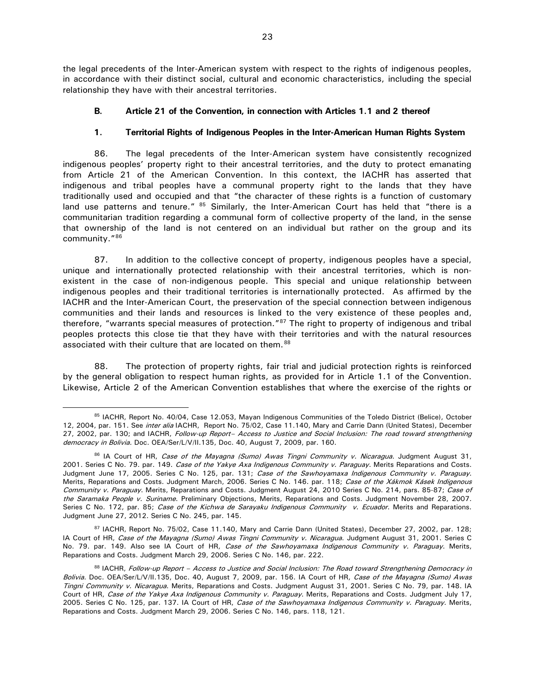the legal precedents of the Inter-American system with respect to the rights of indigenous peoples, in accordance with their distinct social, cultural and economic characteristics, including the special relationship they have with their ancestral territories.

# <span id="page-23-0"></span>**B. Article 21 of the Convention, in connection with Articles 1.1 and 2 thereof**

# **1. Territorial Rights of Indigenous Peoples in the Inter-American Human Rights System**

<span id="page-23-1"></span>86. The legal precedents of the Inter-American system have consistently recognized indigenous peoples' property right to their ancestral territories, and the duty to protect emanating from Article 21 of the American Convention. In this context, the IACHR has asserted that indigenous and tribal peoples have a communal property right to the lands that they have traditionally used and occupied and that "the character of these rights is a function of customary land use patterns and tenure." <sup>[85](#page-23-2)</sup> Similarly, the Inter-American Court has held that "there is a communitarian tradition regarding a communal form of collective property of the land, in the sense that ownership of the land is not centered on an individual but rather on the group and its community."[86](#page-23-3)

87. In addition to the collective concept of property, indigenous peoples have a special, unique and internationally protected relationship with their ancestral territories, which is nonexistent in the case of non-indigenous people. This special and unique relationship between indigenous peoples and their traditional territories is internationally protected. As affirmed by the IACHR and the Inter-American Court, the preservation of the special connection between indigenous communities and their lands and resources is linked to the very existence of these peoples and, therefore, "warrants special measures of protection."[87](#page-23-4) The right to property of indigenous and tribal peoples protects this close tie that they have with their territories and with the natural resources associated with their culture that are located on them.<sup>[88](#page-23-5)</sup>

88. The protection of property rights, fair trial and judicial protection rights is reinforced by the general obligation to respect human rights, as provided for in Article 1.1 of the Convention. Likewise, Article 2 of the American Convention establishes that where the exercise of the rights or

<span id="page-23-4"></span>87 IACHR, Report No. 75/02, Case 11.140, Mary and Carrie Dann (United States), December 27, 2002, par. 128; IA Court of HR, Case of the Mayagna (Sumo) Awas Tingni Community v. Nicaragua. Judgment August 31, 2001. Series C No. 79. par. 149. Also see IA Court of HR, Case of the Sawhoyamaxa Indigenous Community v. Paraguay. Merits, Reparations and Costs. Judgment March 29, 2006. Series C No. 146, par. 222.

<span id="page-23-2"></span><sup>85</sup> IACHR, Report No. 40/04, Case 12.053, Mayan Indigenous Communities of the Toledo District (Belice), October 12, 2004, par. 151. See inter alia IACHR, Report No. 75/02, Case 11.140, Mary and Carrie Dann (United States), December 27, 2002, par. 130; and IACHR, Follow-up Report- Access to Justice and Social Inclusion: The road toward strengthening democracy in Bolivia. Doc. OEA/Ser/L/V/II.135, Doc. 40, August 7, 2009, par. 160.

<span id="page-23-3"></span><sup>86</sup> IA Court of HR, Case of the Mayagna (Sumo) Awas Tingni Community v. Nicaragua. Judgment August 31, 2001. Series C No. 79. par. 149. Case of the Yakye Axa Indigenous Community v. Paraguay. Merits Reparations and Costs. Judgment June 17, 2005. Series C No. 125, par. 131; Case of the Sawhoyamaxa Indigenous Community v. Paraguay. Merits, Reparations and Costs. Judgment March, 2006. Series C No. 146. par. 118; Case of the Xákmok Kásek Indigenous Community v. Paraguay. Merits, Reparations and Costs. Judgment August 24, 2010 Series C No. 214, pars. 85-87; Case of the Saramaka People v. Suriname. Preliminary Objections, Merits, Reparations and Costs. Judgment November 28, 2007. Series C No. 172, par. 85; Case of the Kichwa de Sarayaku Indigenous Community v. Ecuador. Merits and Reparations. Judgment June 27, 2012. Series C No. 245, par. 145.

<span id="page-23-5"></span><sup>88</sup> IACHR, Follow-up Report – Access to Justice and Social Inclusion: The Road toward Strengthening Democracy in Bolivia. Doc. OEA/Ser/L/V/II.135, Doc. 40, August 7, 2009, par. 156. IA Court of HR, Case of the Mayagna (Sumo) Awas Tingni Community v. Nicaragua. Merits, Reparations and Costs. Judgment August 31, 2001. Series C No. 79, par. 148. IA Court of HR, Case of the Yakye Axa Indigenous Community v. Paraguay. Merits, Reparations and Costs. Judgment July 17, 2005. Series C No. 125, par. 137. IA Court of HR, Case of the Sawhoyamaxa Indigenous Community v. Paraguay. Merits, Reparations and Costs. Judgment March 29, 2006. Series C No. 146, pars. 118, 121.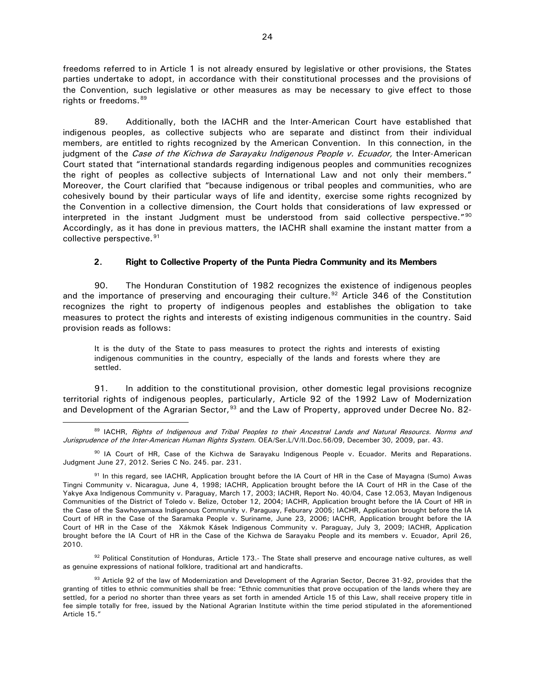freedoms referred to in Article 1 is not already ensured by legislative or other provisions, the States parties undertake to adopt, in accordance with their constitutional processes and the provisions of the Convention, such legislative or other measures as may be necessary to give effect to those rights or freedoms.<sup>[89](#page-24-1)</sup>

89. Additionally, both the IACHR and the Inter-American Court have established that indigenous peoples, as collective subjects who are separate and distinct from their individual members, are entitled to rights recognized by the American Convention. In this connection, in the judgment of the Case of the Kichwa de Sarayaku Indigenous People v. Ecuador, the Inter-American Court stated that "international standards regarding indigenous peoples and communities recognizes the right of peoples as collective subjects of International Law and not only their members." Moreover, the Court clarified that "because indigenous or tribal peoples and communities, who are cohesively bound by their particular ways of life and identity, exercise some rights recognized by the Convention in a collective dimension, the Court holds that considerations of law expressed or interpreted in the instant Judgment must be understood from said collective perspective."<sup>[90](#page-24-2)</sup> Accordingly, as it has done in previous matters, the IACHR shall examine the instant matter from a collective perspective.<sup>[91](#page-24-3)</sup>

# **2. Right to Collective Property of the Punta Piedra Community and its Members**

<span id="page-24-0"></span>90. The Honduran Constitution of 1982 recognizes the existence of indigenous peoples and the importance of preserving and encouraging their culture.<sup>[92](#page-24-4)</sup> Article 346 of the Constitution recognizes the right to property of indigenous peoples and establishes the obligation to take measures to protect the rights and interests of existing indigenous communities in the country. Said provision reads as follows:

It is the duty of the State to pass measures to protect the rights and interests of existing indigenous communities in the country, especially of the lands and forests where they are settled.

91. In addition to the constitutional provision, other domestic legal provisions recognize territorial rights of indigenous peoples, particularly, Article 92 of the 1992 Law of Modernization and Development of the Agrarian Sector,  $93$  and the Law of Property, approved under Decree No. 82-

<span id="page-24-4"></span> $92$  Political Constitution of Honduras, Article 173.- The State shall preserve and encourage native cultures, as well as genuine expressions of national folklore, traditional art and handicrafts.

<span id="page-24-1"></span><sup>89</sup> IACHR, Rights of Indigenous and Tribal Peoples to their Ancestral Lands and Natural Resourcs. Norms and Jurisprudence of the Inter-American Human Rights System. OEA/Ser.L/V/II.Doc.56/09, December 30, 2009, par. 43.

<span id="page-24-2"></span><sup>90</sup> IA Court of HR, Case of the Kichwa de Sarayaku Indigenous People v. Ecuador. Merits and Reparations. Judgment June 27, 2012. Series C No. 245. par. 231.

<span id="page-24-3"></span><sup>91</sup> In this regard, see IACHR, Application brought before the IA Court of HR in the Case of Mayagna (Sumo) Awas Tingni Community v. Nicaragua, June 4, 1998; IACHR, Application brought before the IA Court of HR in the Case of the Yakye Axa Indigenous Community v. Paraguay, March 17, 2003; IACHR, Report No. 40/04, Case 12.053, Mayan Indigenous Communities of the District of Toledo v. Belize, October 12, 2004; IACHR, Application brought before the IA Court of HR in the Case of the Sawhoyamaxa Indigenous Community v. Paraguay, Feburary 2005; IACHR, Application brought before the IA Court of HR in the Case of the Saramaka People v. Suriname, June 23, 2006; IACHR, Application brought before the IA Court of HR in the Case of the Xákmok Kásek Indigenous Community v. Paraguay, July 3, 2009; IACHR, Application brought before the IA Court of HR in the Case of the Kichwa de Sarayaku People and its members v. Ecuador, April 26, 2010.

<span id="page-24-5"></span><sup>93</sup> Article 92 of the law of Modernization and Development of the Agrarian Sector, Decree 31-92, provides that the granting of titles to ethnic communities shall be free: "Ethnic communities that prove occupation of the lands where they are settled, for a period no shorter than three years as set forth in amended Article 15 of this Law, shall receive propery title in fee simple totally for free, issued by the National Agrarian Institute within the time period stipulated in the aforementioned Article 15."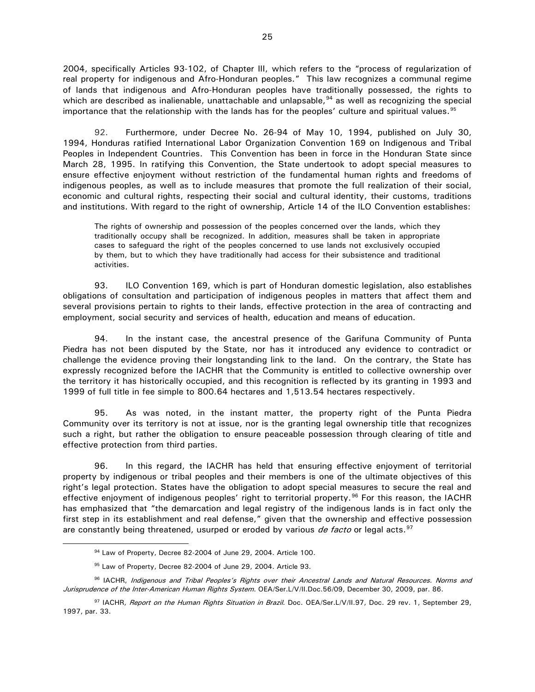2004, specifically Articles 93-102, of Chapter III, which refers to the "process of regularization of real property for indigenous and Afro-Honduran peoples." This law recognizes a communal regime of lands that indigenous and Afro-Honduran peoples have traditionally possessed, the rights to which are described as inalienable, unattachable and unlapsable, <sup>[94](#page-25-0)</sup> as well as recognizing the special importance that the relationship with the lands has for the peoples' culture and spiritual values.<sup>[95](#page-25-1)</sup>

92. Furthermore, under Decree No. 26-94 of May 10, 1994, published on July 30, 1994, Honduras ratified International Labor Organization Convention 169 on Indigenous and Tribal Peoples in Independent Countries. This Convention has been in force in the Honduran State since March 28, 1995. In ratifying this Convention, the State undertook to adopt special measures to ensure effective enjoyment without restriction of the fundamental human rights and freedoms of indigenous peoples, as well as to include measures that promote the full realization of their social, economic and cultural rights, respecting their social and cultural identity, their customs, traditions and institutions. With regard to the right of ownership, Article 14 of the ILO Convention establishes:

The rights of ownership and possession of the peoples concerned over the lands, which they traditionally occupy shall be recognized. In addition, measures shall be taken in appropriate cases to safeguard the right of the peoples concerned to use lands not exclusively occupied by them, but to which they have traditionally had access for their subsistence and traditional activities.

93. ILO Convention 169, which is part of Honduran domestic legislation, also establishes obligations of consultation and participation of indigenous peoples in matters that affect them and several provisions pertain to rights to their lands, effective protection in the area of contracting and employment, social security and services of health, education and means of education.

94. In the instant case, the ancestral presence of the Garifuna Community of Punta Piedra has not been disputed by the State, nor has it introduced any evidence to contradict or challenge the evidence proving their longstanding link to the land. On the contrary, the State has expressly recognized before the IACHR that the Community is entitled to collective ownership over the territory it has historically occupied, and this recognition is reflected by its granting in 1993 and 1999 of full title in fee simple to 800.64 hectares and 1,513.54 hectares respectively.

95. As was noted, in the instant matter, the property right of the Punta Piedra Community over its territory is not at issue, nor is the granting legal ownership title that recognizes such a right, but rather the obligation to ensure peaceable possession through clearing of title and effective protection from third parties.

96. In this regard, the IACHR has held that ensuring effective enjoyment of territorial property by indigenous or tribal peoples and their members is one of the ultimate objectives of this right's legal protection. States have the obligation to adopt special measures to secure the real and effective enjoyment of indigenous peoples' right to territorial property.<sup>[96](#page-25-2)</sup> For this reason, the IACHR has emphasized that "the demarcation and legal registry of the indigenous lands is in fact only the first step in its establishment and real defense," given that the ownership and effective possession are constantly being threatened, usurped or eroded by various *de facto* or legal acts.<sup>[97](#page-25-3)</sup>

 <sup>94</sup> Law of Property, Decree 82-2004 of June 29, 2004. Article 100.

<sup>95</sup> Law of Property, Decree 82-2004 of June 29, 2004. Article 93.

<span id="page-25-2"></span><span id="page-25-1"></span><span id="page-25-0"></span><sup>96</sup> IACHR, Indigenous and Tribal Peoples's Rights over their Ancestral Lands and Natural Resources. Norms and Jurisprudence of the Inter-American Human Rights System. OEA/Ser.L/V/II.Doc.56/09, December 30, 2009, par. 86.

<span id="page-25-3"></span><sup>97</sup> IACHR, Report on the Human Rights Situation in Brazil. Doc. OEA/Ser.L/V/II.97, Doc. 29 rev. 1, September 29, 1997, par. 33.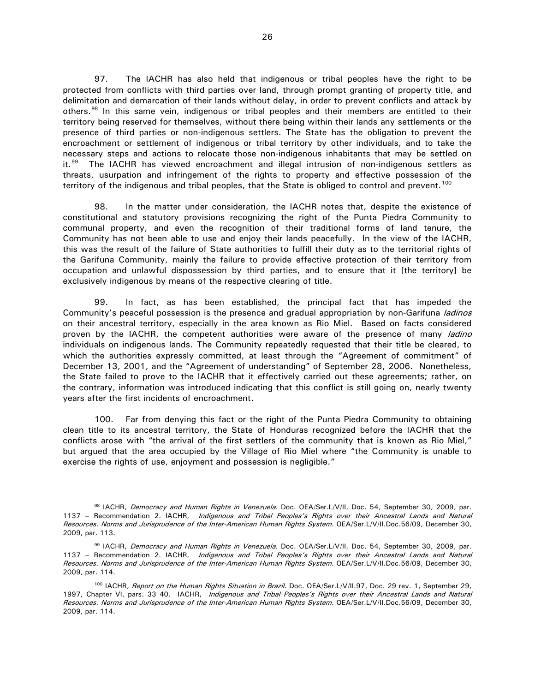97. The IACHR has also held that indigenous or tribal peoples have the right to be protected from conflicts with third parties over land, through prompt granting of property title, and delimitation and demarcation of their lands without delay, in order to prevent conflicts and attack by others.<sup>[98](#page-26-0)</sup> In this same vein, indigenous or tribal peoples and their members are entitled to their territory being reserved for themselves, without there being within their lands any settlements or the presence of third parties or non-indigenous settlers. The State has the obligation to prevent the encroachment or settlement of indigenous or tribal territory by other individuals, and to take the necessary steps and actions to relocate those non-indigenous inhabitants that may be settled on it.<sup>[99](#page-26-1)</sup> The IACHR has viewed encroachment and illegal intrusion of non-indigenous settlers as threats, usurpation and infringement of the rights to property and effective possession of the territory of the indigenous and tribal peoples, that the State is obliged to control and prevent.<sup>[100](#page-26-2)</sup>

98. In the matter under consideration, the IACHR notes that, despite the existence of constitutional and statutory provisions recognizing the right of the Punta Piedra Community to communal property, and even the recognition of their traditional forms of land tenure, the Community has not been able to use and enjoy their lands peacefully. In the view of the IACHR, this was the result of the failure of State authorities to fulfill their duty as to the territorial rights of the Garifuna Community, mainly the failure to provide effective protection of their territory from occupation and unlawful dispossession by third parties, and to ensure that it [the territory] be exclusively indigenous by means of the respective clearing of title.

99. In fact, as has been established, the principal fact that has impeded the Community's peaceful possession is the presence and gradual appropriation by non-Garifuna *ladinos* on their ancestral territory, especially in the area known as Rio Miel. Based on facts considered proven by the IACHR, the competent authorities were aware of the presence of many *ladino* individuals on indigenous lands. The Community repeatedly requested that their title be cleared, to which the authorities expressly committed, at least through the "Agreement of commitment" of December 13, 2001, and the "Agreement of understanding" of September 28, 2006. Nonetheless, the State failed to prove to the IACHR that it effectively carried out these agreements; rather, on the contrary, information was introduced indicating that this conflict is still going on, nearly twenty years after the first incidents of encroachment.

100. Far from denying this fact or the right of the Punta Piedra Community to obtaining clean title to its ancestral territory, the State of Honduras recognized before the IACHR that the conflicts arose with "the arrival of the first settlers of the community that is known as Rio Miel," but argued that the area occupied by the Village of Rio Miel where "the Community is unable to exercise the rights of use, enjoyment and possession is negligible."

<span id="page-26-0"></span><sup>98</sup> IACHR, Democracy and Human Rights in Venezuela. Doc. OEA/Ser.L/V/II, Doc. 54, September 30, 2009, par. 1137 - Recommendation 2. IACHR, Indigenous and Tribal Peoples's Rights over their Ancestral Lands and Natural Resources. Norms and Jurisprudence of the Inter-American Human Rights System. OEA/Ser.L/V/II.Doc.56/09, December 30, 2009, par. 113.

<span id="page-26-1"></span><sup>99</sup> IACHR, Democracy and Human Rights in Venezuela. Doc. OEA/Ser.L/V/II, Doc. 54, September 30, 2009, par. 1137 - Recommendation 2. IACHR, Indigenous and Tribal Peoples's Rights over their Ancestral Lands and Natural Resources. Norms and Jurisprudence of the Inter-American Human Rights System. OEA/Ser.L/V/II.Doc.56/09, December 30, 2009, par. 114.

<span id="page-26-2"></span><sup>&</sup>lt;sup>100</sup> IACHR, Report on the Human Rights Situation in Brazil. Doc. OEA/Ser.L/V/II.97, Doc. 29 rev. 1, September 29, 1997, Chapter VI, pars. 33 40. IACHR, Indigenous and Tribal Peoples's Rights over their Ancestral Lands and Natural Resources. Norms and Jurisprudence of the Inter-American Human Rights System. OEA/Ser.L/V/II.Doc.56/09, December 30, 2009, par. 114.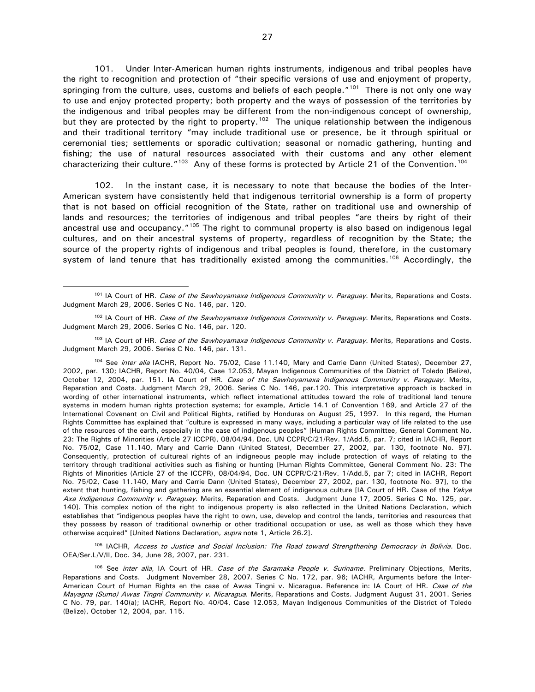101. Under Inter-American human rights instruments, indigenous and tribal peoples have the right to recognition and protection of "their specific versions of use and enjoyment of property, springing from the culture, uses, customs and beliefs of each people."<sup>[101](#page-27-0)</sup> There is not only one way to use and enjoy protected property; both property and the ways of possession of the territories by the indigenous and tribal peoples may be different from the non-indigenous concept of ownership, but they are protected by the right to property.<sup>[102](#page-27-1)</sup> The unique relationship between the indigenous and their traditional territory "may include traditional use or presence, be it through spiritual or ceremonial ties; settlements or sporadic cultivation; seasonal or nomadic gathering, hunting and fishing; the use of natural resources associated with their customs and any other element characterizing their culture."<sup>[103](#page-27-2)</sup> Any of these forms is protected by Article 21 of the Convention.<sup>[104](#page-27-3)</sup>

102. In the instant case, it is necessary to note that because the bodies of the Inter-American system have consistently held that indigenous territorial ownership is a form of property that is not based on official recognition of the State, rather on traditional use and ownership of lands and resources; the territories of indigenous and tribal peoples "are theirs by right of their ancestral use and occupancy."<sup>[105](#page-27-4)</sup> The right to communal property is also based on indigenous legal cultures, and on their ancestral systems of property, regardless of recognition by the State; the source of the property rights of indigenous and tribal peoples is found, therefore, in the customary system of land tenure that has traditionally existed among the communities.<sup>[106](#page-27-5)</sup> Accordingly, the

<span id="page-27-2"></span><sup>103</sup> IA Court of HR. Case of the Sawhoyamaxa Indigenous Community v. Paraguay. Merits, Reparations and Costs. Judgment March 29, 2006. Series C No. 146, par. 131.

<span id="page-27-3"></span><sup>104</sup> See *inter alia* IACHR, Report No. 75/02, Case 11.140, Mary and Carrie Dann (United States), December 27, 2002, par. 130; IACHR, Report No. 40/04, Case 12.053, Mayan Indigenous Communities of the District of Toledo (Belize), October 12, 2004, par. 151. IA Court of HR. Case of the Sawhoyamaxa Indigenous Community v. Paraguay. Merits, Reparation and Costs. Judgment March 29, 2006. Series C No. 146, par.120. This interpretative approach is backed in wording of other international instruments, which reflect international attitudes toward the role of traditional land tenure systems in modern human rights protection systems; for example, Article 14.1 of Convention 169, and Article 27 of the International Covenant on Civil and Political Rights, ratified by Honduras on August 25, 1997. In this regard, the Human Rights Committee has explained that "culture is expressed in many ways, including a particular way of life related to the use of the resources of the earth, especially in the case of indigenous peoples" [Human Rights Committee, General Comment No. 23: The Rights of Minorities (Article 27 ICCPR), 08/04/94, Doc. UN CCPR/C/21/Rev. 1/Add.5, par. 7; cited in IACHR, Report No. 75/02, Case 11.140, Mary and Carrie Dann (United States), December 27, 2002, par. 130, footnote No. 97]. Consequently, protection of cultureal rights of an indigneous people may include protection of ways of relating to the territory through traditional activities such as fishing or hunting [Human Rights Committee, General Comment No. 23: The Rights of Minorities (Article 27 of the ICCPR), 08/04/94, Doc. UN CCPR/C/21/Rev. 1/Add.5, par 7; cited in IACHR, Report No. 75/02, Case 11.140, Mary and Carrie Dann (United States), December 27, 2002, par. 130, footnote No. 97], to the extent that hunting, fishing and gathering are an essential element of indigenous culture [IA Court of HR. Case of the Yakye Axa Indigenous Community v. Paraguay. Merits, Reparation and Costs. Judgment June 17, 2005. Series C No. 125, par. 140]. This complex notion of the right to indigenous property is also reflected in the United Nations Declaration, which establishes that "indigenous peoples have the right to own, use, develop and control the lands, territories and resources that they possess by reason of traditional ownerhip or other traditional occupation or use, as well as those which they have otherwise acquired" [United Nations Declaration, supra note 1, Article 26.2].

<span id="page-27-4"></span>105 IACHR, Access to Justice and Social Inclusion: The Road toward Strengthening Democracy in Bolivia. Doc. OEA/Ser.L/V/II, Doc. 34, June 28, 2007, par. 231.

<span id="page-27-5"></span><sup>106</sup> See *inter alia*, IA Court of HR. Case of the Saramaka People v. Suriname. Preliminary Objections, Merits, Reparations and Costs. Judgment November 28, 2007. Series C No. 172, par. 96; IACHR, Arguments before the Inter-American Court of Human Rights en the case of Awas Tingni v. Nicaragua. Reference in: IA Court of HR. Case of the Mayagna (Sumo) Awas Tingni Community v. Nicaragua. Merits, Reparations and Costs. Judgment August 31, 2001. Series C No. 79, par. 140(a); IACHR, Report No. 40/04, Case 12.053, Mayan Indigenous Communities of the District of Toledo (Belize), October 12, 2004, par. 115.

<span id="page-27-0"></span><sup>&</sup>lt;sup>101</sup> IA Court of HR. Case of the Sawhovamaxa Indigenous Community v. Paraguay. Merits, Reparations and Costs. Judgment March 29, 2006. Series C No. 146, par. 120.

<span id="page-27-1"></span><sup>&</sup>lt;sup>102</sup> IA Court of HR. Case of the Sawhoyamaxa Indigenous Community v. Paraguay. Merits, Reparations and Costs. Judgment March 29, 2006. Series C No. 146, par. 120.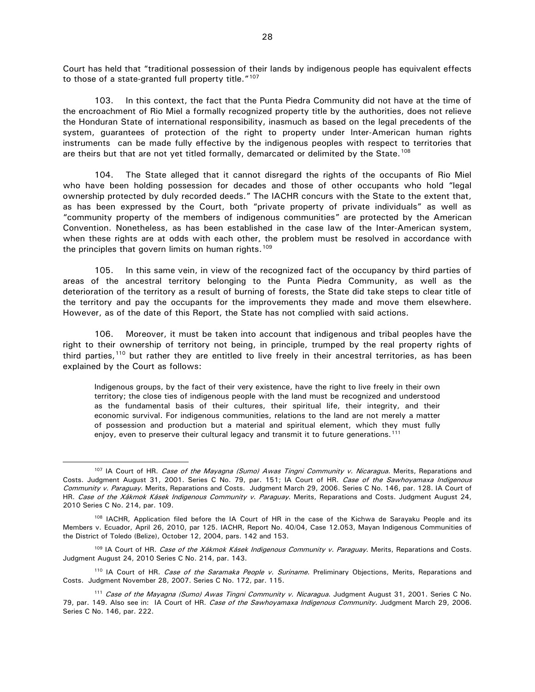Court has held that "traditional possession of their lands by indigenous people has equivalent effects to those of a state-granted full property title."<sup>[107](#page-28-0)</sup>

103. In this context, the fact that the Punta Piedra Community did not have at the time of the encroachment of Rio Miel a formally recognized property title by the authorities, does not relieve the Honduran State of international responsibility, inasmuch as based on the legal precedents of the system, guarantees of protection of the right to property under Inter-American human rights instruments can be made fully effective by the indigenous peoples with respect to territories that are theirs but that are not yet titled formally, demarcated or delimited by the State.<sup>[108](#page-28-1)</sup>

104. The State alleged that it cannot disregard the rights of the occupants of Rio Miel who have been holding possession for decades and those of other occupants who hold "legal ownership protected by duly recorded deeds." The IACHR concurs with the State to the extent that, as has been expressed by the Court, both "private property of private individuals" as well as "community property of the members of indigenous communities" are protected by the American Convention. Nonetheless, as has been established in the case law of the Inter-American system, when these rights are at odds with each other, the problem must be resolved in accordance with the principles that govern limits on human rights.<sup>[109](#page-28-2)</sup>

105. In this same vein, in view of the recognized fact of the occupancy by third parties of areas of the ancestral territory belonging to the Punta Piedra Community, as well as the deterioration of the territory as a result of burning of forests, the State did take steps to clear title of the territory and pay the occupants for the improvements they made and move them elsewhere. However, as of the date of this Report, the State has not complied with said actions.

106. Moreover, it must be taken into account that indigenous and tribal peoples have the right to their ownership of territory not being, in principle, trumped by the real property rights of third parties,<sup>[110](#page-28-3)</sup> but rather they are entitled to live freely in their ancestral territories, as has been explained by the Court as follows:

Indigenous groups, by the fact of their very existence, have the right to live freely in their own territory; the close ties of indigenous people with the land must be recognized and understood as the fundamental basis of their cultures, their spiritual life, their integrity, and their economic survival. For indigenous communities, relations to the land are not merely a matter of possession and production but a material and spiritual element, which they must fully enjoy, even to preserve their cultural legacy and transmit it to future generations.<sup>[111](#page-28-4)</sup>

<span id="page-28-3"></span><sup>110</sup> IA Court of HR. Case of the Saramaka People v. Suriname. Preliminary Objections, Merits, Reparations and Costs. Judgment November 28, 2007. Series C No. 172, par. 115.

<span id="page-28-0"></span><sup>&</sup>lt;sup>107</sup> IA Court of HR. Case of the Mayagna (Sumo) Awas Tingni Community v. Nicaragua. Merits, Reparations and Costs. Judgment August 31, 2001. Series C No. 79, par. 151; IA Court of HR. Case of the Sawhoyamaxa Indigenous Community v. Paraguay. Merits, Reparations and Costs. Judgment March 29, 2006. Series C No. 146, par. 128. IA Court of HR. Case of the Xákmok Kásek Indigenous Community v. Paraguay. Merits, Reparations and Costs. Judgment August 24, 2010 Series C No. 214, par. 109.

<span id="page-28-1"></span><sup>&</sup>lt;sup>108</sup> IACHR, Application filed before the IA Court of HR in the case of the Kichwa de Sarayaku People and its Members v. Ecuador, April 26, 2010, par 125. IACHR, Report No. 40/04, Case 12.053, Mayan Indigenous Communities of the District of Toledo (Belize), October 12, 2004, pars. 142 and 153.

<span id="page-28-2"></span><sup>&</sup>lt;sup>109</sup> IA Court of HR. Case of the Xákmok Kásek Indigenous Community v. Paraguay. Merits, Reparations and Costs. Judgment August 24, 2010 Series C No. 214, par. 143.

<span id="page-28-4"></span><sup>&</sup>lt;sup>111</sup> Case of the Mayagna (Sumo) Awas Tingni Community v. Nicaragua. Judgment August 31, 2001. Series C No. 79, par. 149. Also see in: IA Court of HR. Case of the Sawhoyamaxa Indigenous Community. Judgment March 29, 2006. Series C No. 146, par. 222.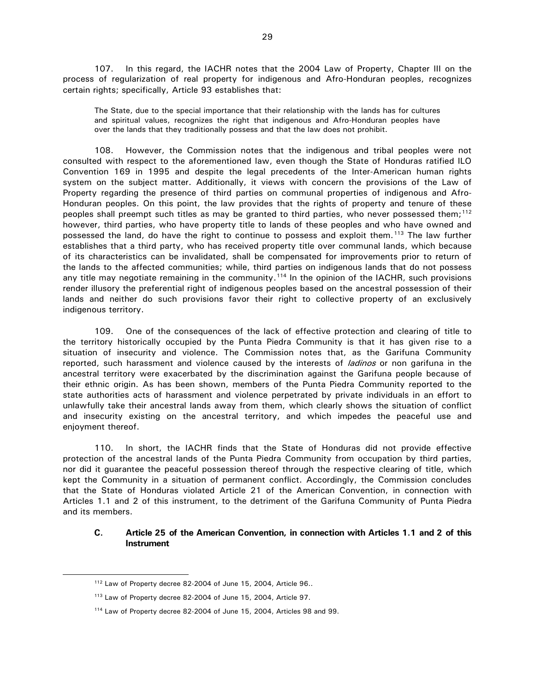107. In this regard, the IACHR notes that the 2004 Law of Property, Chapter III on the process of regularization of real property for indigenous and Afro-Honduran peoples, recognizes certain rights; specifically, Article 93 establishes that:

The State, due to the special importance that their relationship with the lands has for cultures and spiritual values, recognizes the right that indigenous and Afro-Honduran peoples have over the lands that they traditionally possess and that the law does not prohibit.

108. However, the Commission notes that the indigenous and tribal peoples were not consulted with respect to the aforementioned law, even though the State of Honduras ratified ILO Convention 169 in 1995 and despite the legal precedents of the Inter-American human rights system on the subject matter. Additionally, it views with concern the provisions of the Law of Property regarding the presence of third parties on communal properties of indigenous and Afro-Honduran peoples. On this point, the law provides that the rights of property and tenure of these peoples shall preempt such titles as may be granted to third parties, who never possessed them;<sup>[112](#page-29-1)</sup> however, third parties, who have property title to lands of these peoples and who have owned and possessed the land, do have the right to continue to possess and exploit them.<sup>[113](#page-29-2)</sup> The law further establishes that a third party, who has received property title over communal lands, which because of its characteristics can be invalidated, shall be compensated for improvements prior to return of the lands to the affected communities; while, third parties on indigenous lands that do not possess any title may negotiate remaining in the community.<sup>[114](#page-29-3)</sup> In the opinion of the IACHR, such provisions render illusory the preferential right of indigenous peoples based on the ancestral possession of their lands and neither do such provisions favor their right to collective property of an exclusively indigenous territory.

109. One of the consequences of the lack of effective protection and clearing of title to the territory historically occupied by the Punta Piedra Community is that it has given rise to a situation of insecurity and violence. The Commission notes that, as the Garifuna Community reported, such harassment and violence caused by the interests of *ladinos* or non garifuna in the ancestral territory were exacerbated by the discrimination against the Garifuna people because of their ethnic origin. As has been shown, members of the Punta Piedra Community reported to the state authorities acts of harassment and violence perpetrated by private individuals in an effort to unlawfully take their ancestral lands away from them, which clearly shows the situation of conflict and insecurity existing on the ancestral territory, and which impedes the peaceful use and enjoyment thereof.

110. In short, the IACHR finds that the State of Honduras did not provide effective protection of the ancestral lands of the Punta Piedra Community from occupation by third parties, nor did it guarantee the peaceful possession thereof through the respective clearing of title, which kept the Community in a situation of permanent conflict. Accordingly, the Commission concludes that the State of Honduras violated Article 21 of the American Convention, in connection with Articles 1.1 and 2 of this instrument, to the detriment of the Garifuna Community of Punta Piedra and its members.

### <span id="page-29-0"></span>**C. Article 25 of the American Convention, in connection with Articles 1.1 and 2 of this Instrument**

<span id="page-29-1"></span> <sup>112</sup> Law of Property decree 82-2004 of June 15, 2004, Article 96..

<span id="page-29-2"></span><sup>113</sup> Law of Property decree 82-2004 of June 15, 2004, Article 97.

<span id="page-29-3"></span><sup>114</sup> Law of Property decree 82-2004 of June 15, 2004, Articles 98 and 99.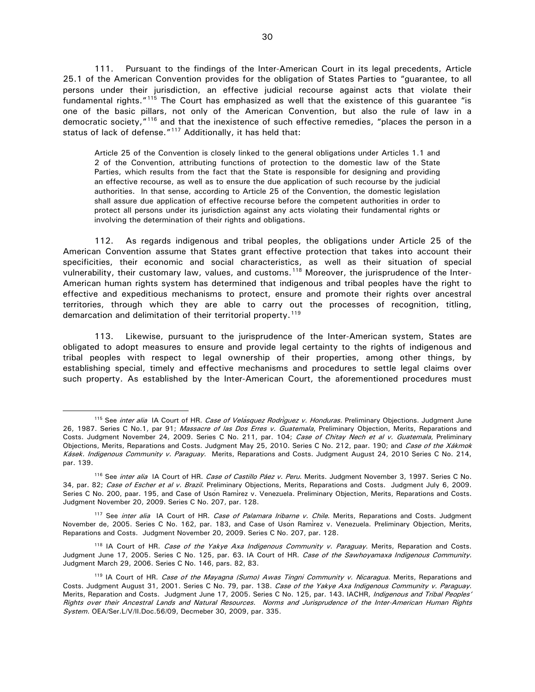111. Pursuant to the findings of the Inter-American Court in its legal precedents, Article 25.1 of the American Convention provides for the obligation of States Parties to "guarantee, to all persons under their jurisdiction, an effective judicial recourse against acts that violate their fundamental rights."<sup>[115](#page-30-0)</sup> The Court has emphasized as well that the existence of this guarantee "is one of the basic pillars, not only of the American Convention, but also the rule of law in a democratic society,"[116](#page-30-1) and that the inexistence of such effective remedies, "places the person in a status of lack of defense."<sup>[117](#page-30-2)</sup> Additionally, it has held that:

Article 25 of the Convention is closely linked to the general obligations under Articles 1.1 and 2 of the Convention, attributing functions of protection to the domestic law of the State Parties, which results from the fact that the State is responsible for designing and providing an effective recourse, as well as to ensure the due application of such recourse by the judicial authorities. In that sense, according to Article 25 of the Convention, the domestic legislation shall assure due application of effective recourse before the competent authorities in order to protect all persons under its jurisdiction against any acts violating their fundamental rights or involving the determination of their rights and obligations.

112. As regards indigenous and tribal peoples, the obligations under Article 25 of the American Convention assume that States grant effective protection that takes into account their specificities, their economic and social characteristics, as well as their situation of special vulnerability, their customary law, values, and customs.<sup>[118](#page-30-3)</sup> Moreover, the jurisprudence of the Inter-American human rights system has determined that indigenous and tribal peoples have the right to effective and expeditious mechanisms to protect, ensure and promote their rights over ancestral territories, through which they are able to carry out the processes of recognition, titling, demarcation and delimitation of their territorial property.<sup>[119](#page-30-4)</sup>

113. Likewise, pursuant to the jurisprudence of the Inter-American system, States are obligated to adopt measures to ensure and provide legal certainty to the rights of indigenous and tribal peoples with respect to legal ownership of their properties, among other things, by establishing special, timely and effective mechanisms and procedures to settle legal claims over such property. As established by the Inter-American Court, the aforementioned procedures must

<span id="page-30-0"></span><sup>115</sup> See *inter alia* IA Court of HR. Case of Vela<sup>*squez Rodriguez v. Honduras*. Preliminary Objections. Judgment June</sup> 26, 1987. Series C No.1, par 91; Massacre of las Dos Erres v. Guatemala, Preliminary Objection, Merits, Reparations and Costs. Judgment November 24, 2009. Series C No. 211, par. 104; Case of Chitay Nech et al v. Guatemala, Preliminary Objections, Merits, Reparations and Costs. Judgment May 25, 2010. Series C No. 212, paar. 190; and Case of the Xákmok Kásek. Indigenous Community v. Paraguay. Merits, Reparations and Costs. Judgment August 24, 2010 Series C No. 214, par. 139.

<span id="page-30-1"></span><sup>&</sup>lt;sup>116</sup> See inter alia IA Court of HR. Case of Castillo Páez v. Peru. Merits. Judgment November 3, 1997. Series C No. 34, par. 82; Case of Escher et al v. Brazil. Preliminary Objections, Merits, Reparations and Costs. Judgment July 6, 2009. Series C No. 200, paar. 195, and Case of Usón Ramírez v. Venezuela. Preliminary Objection, Merits, Reparations and Costs. Judgment November 20, 2009. Series C No. 207, par. 128.

<span id="page-30-2"></span><sup>&</sup>lt;sup>117</sup> See inter alia IA Court of HR. Case of Palamara Iribarne v. Chile. Merits, Reparations and Costs. Judgment November de, 2005. Series C No. 162, par. 183, and Case of Usón Ramírez v. Venezuela. Preliminary Objection, Merits, Reparations and Costs. Judgment November 20, 2009. Series C No. 207, par. 128.

<span id="page-30-3"></span><sup>&</sup>lt;sup>118</sup> IA Court of HR. Case of the Yakye Axa Indigenous Community v. Paraguay. Merits, Reparation and Costs. Judgment June 17, 2005. Series C No. 125, par. 63. IA Court of HR. Case of the Sawhoyamaxa Indigenous Community. Judgment March 29, 2006. Series C No. 146, pars. 82, 83.

<span id="page-30-4"></span><sup>&</sup>lt;sup>119</sup> IA Court of HR. Case of the Mayagna (Sumo) Awas Tingni Community v. Nicaragua. Merits, Reparations and Costs. Judgment August 31, 2001. Series C No. 79, par. 138. Case of the Yakye Axa Indigenous Community v. Paraguay. Merits, Reparation and Costs. Judgment June 17, 2005. Series C No. 125, par. 143. IACHR, Indigenous and Tribal Peoples' Rights over their Ancestral Lands and Natural Resources. Norms and Jurisprudence of the Inter-American Human Rights System. OEA/Ser.L/V/II.Doc.56/09, Decmeber 30, 2009, par. 335.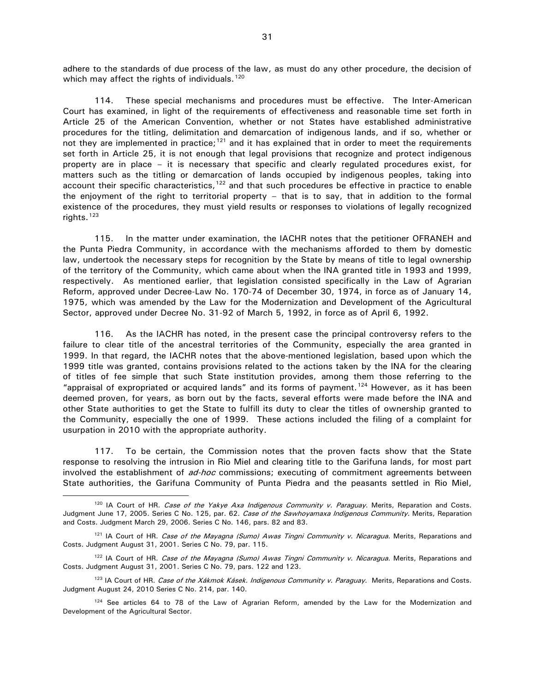adhere to the standards of due process of the law, as must do any other procedure, the decision of which may affect the rights of individuals.  $120$ 

114. These special mechanisms and procedures must be effective. The Inter-American Court has examined, in light of the requirements of effectiveness and reasonable time set forth in Article 25 of the American Convention, whether or not States have established administrative procedures for the titling, delimitation and demarcation of indigenous lands, and if so, whether or not they are implemented in practice;<sup>[121](#page-31-1)</sup> and it has explained that in order to meet the requirements set forth in Article 25, it is not enough that legal provisions that recognize and protect indigenous property are in place – it is necessary that specific and clearly regulated procedures exist, for matters such as the titling or demarcation of lands occupied by indigenous peoples, taking into account their specific characteristics, $122$  and that such procedures be effective in practice to enable the enjoyment of the right to territorial property – that is to say, that in addition to the formal existence of the procedures, they must yield results or responses to violations of legally recognized rights. $123$ 

115. In the matter under examination, the IACHR notes that the petitioner OFRANEH and the Punta Piedra Community, in accordance with the mechanisms afforded to them by domestic law, undertook the necessary steps for recognition by the State by means of title to legal ownership of the territory of the Community, which came about when the INA granted title in 1993 and 1999, respectively. As mentioned earlier, that legislation consisted specifically in the Law of Agrarian Reform, approved under Decree-Law No. 170-74 of December 30, 1974, in force as of January 14, 1975, which was amended by the Law for the Modernization and Development of the Agricultural Sector, approved under Decree No. 31-92 of March 5, 1992, in force as of April 6, 1992.

116. As the IACHR has noted, in the present case the principal controversy refers to the failure to clear title of the ancestral territories of the Community, especially the area granted in 1999. In that regard, the IACHR notes that the above-mentioned legislation, based upon which the 1999 title was granted, contains provisions related to the actions taken by the INA for the clearing of titles of fee simple that such State institution provides, among them those referring to the "appraisal of expropriated or acquired lands" and its forms of payment.<sup>[124](#page-31-4)</sup> However, as it has been deemed proven, for years, as born out by the facts, several efforts were made before the INA and other State authorities to get the State to fulfill its duty to clear the titles of ownership granted to the Community, especially the one of 1999. These actions included the filing of a complaint for usurpation in 2010 with the appropriate authority.

117. To be certain, the Commission notes that the proven facts show that the State response to resolving the intrusion in Rio Miel and clearing title to the Garifuna lands, for most part involved the establishment of ad-hoc commissions; executing of commitment agreements between State authorities, the Garifuna Community of Punta Piedra and the peasants settled in Rio Miel,

<span id="page-31-0"></span> $120$  IA Court of HR. Case of the Yakye Axa Indigenous Community v. Paraguay. Merits, Reparation and Costs. Judgment June 17, 2005. Series C No. 125, par. 62. Case of the Sawhoyamaxa Indigenous Community. Merits, Reparation and Costs. Judgment March 29, 2006. Series C No. 146, pars. 82 and 83.

<span id="page-31-1"></span><sup>&</sup>lt;sup>121</sup> IA Court of HR. Case of the Mayagna (Sumo) Awas Tingni Community v. Nicaragua. Merits, Reparations and Costs. Judgment August 31, 2001. Series C No. 79, par. 115.

<span id="page-31-2"></span><sup>&</sup>lt;sup>122</sup> IA Court of HR. Case of the Mayagna (Sumo) Awas Tingni Community v. Nicaragua. Merits, Reparations and Costs. Judgment August 31, 2001. Series C No. 79, pars. 122 and 123.

<span id="page-31-3"></span><sup>&</sup>lt;sup>123</sup> IA Court of HR. Case of the Xákmok Kásek. Indigenous Community v. Paraguay. Merits, Reparations and Costs. Judgment August 24, 2010 Series C No. 214, par. 140.

<span id="page-31-4"></span><sup>&</sup>lt;sup>124</sup> See articles 64 to 78 of the Law of Agrarian Reform, amended by the Law for the Modernization and Development of the Agricultural Sector.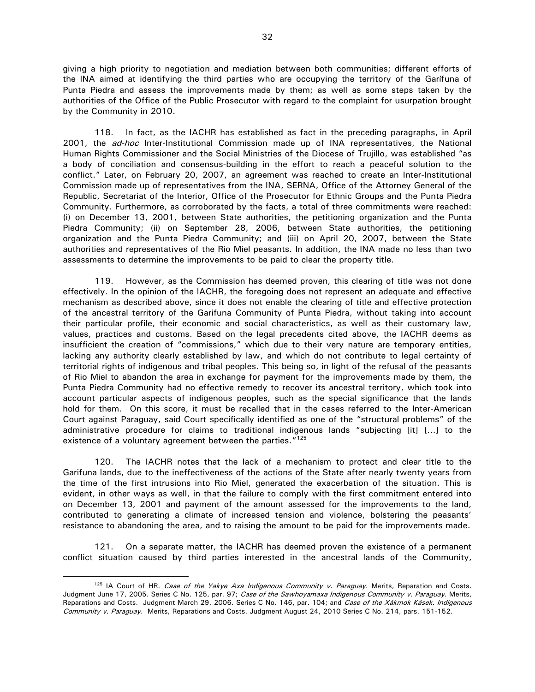giving a high priority to negotiation and mediation between both communities; different efforts of the INA aimed at identifying the third parties who are occupying the territory of the Garífuna of Punta Piedra and assess the improvements made by them; as well as some steps taken by the authorities of the Office of the Public Prosecutor with regard to the complaint for usurpation brought by the Community in 2010.

118. In fact, as the IACHR has established as fact in the preceding paragraphs, in April 2001, the ad-hoc Inter-Institutional Commission made up of INA representatives, the National Human Rights Commissioner and the Social Ministries of the Diocese of Trujillo, was established "as a body of conciliation and consensus-building in the effort to reach a peaceful solution to the conflict." Later, on February 20, 2007, an agreement was reached to create an Inter-Institutional Commission made up of representatives from the INA, SERNA, Office of the Attorney General of the Republic, Secretariat of the Interior, Office of the Prosecutor for Ethnic Groups and the Punta Piedra Community. Furthermore, as corroborated by the facts, a total of three commitments were reached: (i) on December 13, 2001, between State authorities, the petitioning organization and the Punta Piedra Community; (ii) on September 28, 2006, between State authorities, the petitioning organization and the Punta Piedra Community; and (iii) on April 20, 2007, between the State authorities and representatives of the Rio Miel peasants. In addition, the INA made no less than two assessments to determine the improvements to be paid to clear the property title.

119. However, as the Commission has deemed proven, this clearing of title was not done effectively. In the opinion of the IACHR, the foregoing does not represent an adequate and effective mechanism as described above, since it does not enable the clearing of title and effective protection of the ancestral territory of the Garifuna Community of Punta Piedra, without taking into account their particular profile, their economic and social characteristics, as well as their customary law, values, practices and customs. Based on the legal precedents cited above, the IACHR deems as insufficient the creation of "commissions," which due to their very nature are temporary entities, lacking any authority clearly established by law, and which do not contribute to legal certainty of territorial rights of indigenous and tribal peoples. This being so, in light of the refusal of the peasants of Rio Miel to abandon the area in exchange for payment for the improvements made by them, the Punta Piedra Community had no effective remedy to recover its ancestral territory, which took into account particular aspects of indigenous peoples, such as the special significance that the lands hold for them. On this score, it must be recalled that in the cases referred to the Inter-American Court against Paraguay, said Court specifically identified as one of the "structural problems" of the administrative procedure for claims to traditional indigenous lands "subjecting [it] […] to the existence of a voluntary agreement between the parties."<sup>[125](#page-32-0)</sup>

120. The IACHR notes that the lack of a mechanism to protect and clear title to the Garifuna lands, due to the ineffectiveness of the actions of the State after nearly twenty years from the time of the first intrusions into Rio Miel, generated the exacerbation of the situation. This is evident, in other ways as well, in that the failure to comply with the first commitment entered into on December 13, 2001 and payment of the amount assessed for the improvements to the land, contributed to generating a climate of increased tension and violence, bolstering the peasants' resistance to abandoning the area, and to raising the amount to be paid for the improvements made.

121. On a separate matter, the IACHR has deemed proven the existence of a permanent conflict situation caused by third parties interested in the ancestral lands of the Community,

<span id="page-32-0"></span><sup>&</sup>lt;sup>125</sup> IA Court of HR. Case of the Yakye Axa Indigenous Community v. Paraguay. Merits, Reparation and Costs. Judgment June 17, 2005. Series C No. 125, par. 97; Case of the Sawhoyamaxa Indigenous Community v. Paraguay. Merits, Reparations and Costs. Judgment March 29, 2006. Series C No. 146, par. 104; and Case of the Xákmok Kásek. Indigenous Community v. Paraguay. Merits, Reparations and Costs. Judgment August 24, 2010 Series C No. 214, pars. 151-152.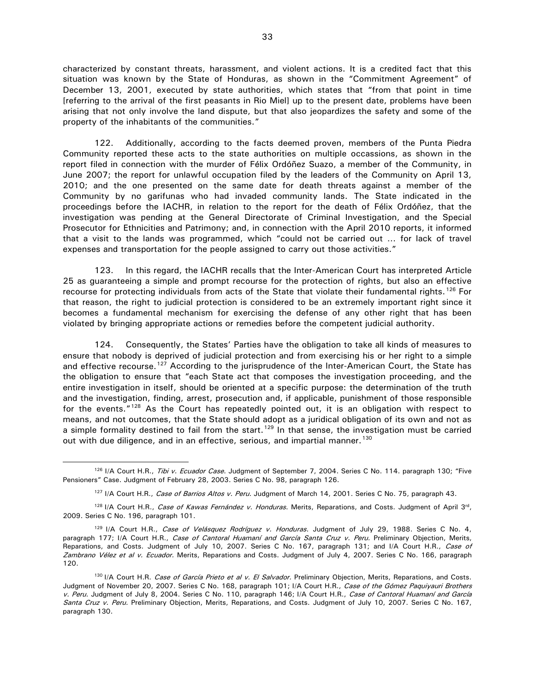characterized by constant threats, harassment, and violent actions. It is a credited fact that this situation was known by the State of Honduras, as shown in the "Commitment Agreement" of December 13, 2001, executed by state authorities, which states that "from that point in time [referring to the arrival of the first peasants in Rio Miel] up to the present date, problems have been arising that not only involve the land dispute, but that also jeopardizes the safety and some of the property of the inhabitants of the communities."

122. Additionally, according to the facts deemed proven, members of the Punta Piedra Community reported these acts to the state authorities on multiple occassions, as shown in the report filed in connection with the murder of Félix Ordóñez Suazo, a member of the Community, in June 2007; the report for unlawful occupation filed by the leaders of the Community on April 13, 2010; and the one presented on the same date for death threats against a member of the Community by no garifunas who had invaded community lands. The State indicated in the proceedings before the IACHR, in relation to the report for the death of Félix Ordóñez, that the investigation was pending at the General Directorate of Criminal Investigation, and the Special Prosecutor for Ethnicities and Patrimony; and, in connection with the April 2010 reports, it informed that a visit to the lands was programmed, which "could not be carried out … for lack of travel expenses and transportation for the people assigned to carry out those activities."

123. In this regard, the IACHR recalls that the Inter-American Court has interpreted Article 25 as guaranteeing a simple and prompt recourse for the protection of rights, but also an effective recourse for protecting individuals from acts of the State that violate their fundamental rights.<sup>[126](#page-33-0)</sup> For that reason, the right to judicial protection is considered to be an extremely important right since it becomes a fundamental mechanism for exercising the defense of any other right that has been violated by bringing appropriate actions or remedies before the competent judicial authority.

124. Consequently, the States' Parties have the obligation to take all kinds of measures to ensure that nobody is deprived of judicial protection and from exercising his or her right to a simple and effective recourse.<sup>[127](#page-33-1)</sup> According to the jurisprudence of the Inter-American Court, the State has the obligation to ensure that "each State act that composes the investigation proceeding, and the entire investigation in itself, should be oriented at a specific purpose: the determination of the truth and the investigation, finding, arrest, prosecution and, if applicable, punishment of those responsible for the events."<sup>[128](#page-33-2)</sup> As the Court has repeatedly pointed out, it is an obligation with respect to means, and not outcomes, that the State should adopt as a juridical obligation of its own and not as a simple formality destined to fail from the start.<sup>[129](#page-33-3)</sup> In that sense, the investigation must be carried out with due diligence, and in an effective, serious, and impartial manner.<sup>[130](#page-33-4)</sup>

<span id="page-33-0"></span><sup>126</sup> I/A Court H.R., Tibi v. Ecuador Case. Judgment of September 7, 2004. Series C No. 114. paragraph 130; "Five Pensioners" Case. Judgment of February 28, 2003. Series C No. 98, paragraph 126.

<sup>&</sup>lt;sup>127</sup> I/A Court H.R., Case of Barrios Altos v. Peru. Judgment of March 14, 2001. Series C No. 75, paragraph 43.

<span id="page-33-2"></span><span id="page-33-1"></span><sup>&</sup>lt;sup>128</sup> I/A Court H.R., Case of Kawas Fernández v. Honduras. Merits, Reparations, and Costs. Judgment of April 3<sup>rd</sup>, 2009. Series C No. 196, paragraph 101.

<span id="page-33-3"></span><sup>&</sup>lt;sup>129</sup> I/A Court H.R., Case of Velásquez Rodríguez v. Honduras. Judgment of July 29, 1988. Series C No. 4, paragraph 177; I/A Court H.R., Case of Cantoral Huamaní and García Santa Cruz v. Peru. Preliminary Objection, Merits, Reparations, and Costs. Judgment of July 10, 2007. Series C No. 167, paragraph 131; and I/A Court H.R., Case of Zambrano Vélez et al v. Ecuador. Merits, Reparations and Costs. Judgment of July 4, 2007. Series C No. 166, paragraph 120.

<span id="page-33-4"></span><sup>&</sup>lt;sup>130</sup> I/A Court H.R. *Case of García Prieto et al v. El Salvador*. Preliminary Objection, Merits, Reparations, and Costs. Judgment of November 20, 2007. Series C No. 168, paragraph 101; I/A Court H.R., Case of the Gómez Paquiyauri Brothers v. Peru. Judgment of July 8, 2004. Series C No. 110, paragraph 146; I/A Court H.R., Case of Cantoral Huamaní and García Santa Cruz v. Peru. Preliminary Objection, Merits, Reparations, and Costs. Judgment of July 10, 2007. Series C No. 167, paragraph 130.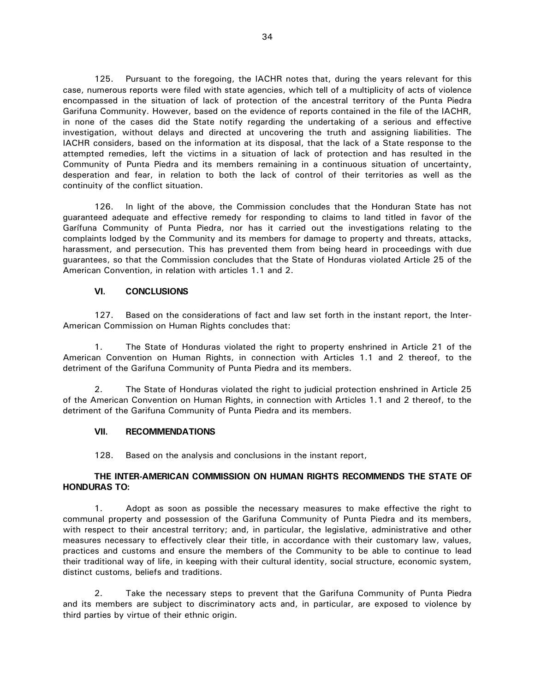125. Pursuant to the foregoing, the IACHR notes that, during the years relevant for this case, numerous reports were filed with state agencies, which tell of a multiplicity of acts of violence encompassed in the situation of lack of protection of the ancestral territory of the Punta Piedra Garifuna Community. However, based on the evidence of reports contained in the file of the IACHR, in none of the cases did the State notify regarding the undertaking of a serious and effective investigation, without delays and directed at uncovering the truth and assigning liabilities. The IACHR considers, based on the information at its disposal, that the lack of a State response to the attempted remedies, left the victims in a situation of lack of protection and has resulted in the Community of Punta Piedra and its members remaining in a continuous situation of uncertainty, desperation and fear, in relation to both the lack of control of their territories as well as the continuity of the conflict situation.

126. In light of the above, the Commission concludes that the Honduran State has not guaranteed adequate and effective remedy for responding to claims to land titled in favor of the Garífuna Community of Punta Piedra, nor has it carried out the investigations relating to the complaints lodged by the Community and its members for damage to property and threats, attacks, harassment, and persecution. This has prevented them from being heard in proceedings with due guarantees, so that the Commission concludes that the State of Honduras violated Article 25 of the American Convention, in relation with articles 1.1 and 2.

#### **VI. CONCLUSIONS**

<span id="page-34-0"></span>127. Based on the considerations of fact and law set forth in the instant report, the Inter-American Commission on Human Rights concludes that:

1. The State of Honduras violated the right to property enshrined in Article 21 of the American Convention on Human Rights, in connection with Articles 1.1 and 2 thereof, to the detriment of the Garifuna Community of Punta Piedra and its members.

2. The State of Honduras violated the right to judicial protection enshrined in Article 25 of the American Convention on Human Rights, in connection with Articles 1.1 and 2 thereof, to the detriment of the Garifuna Community of Punta Piedra and its members.

# <span id="page-34-1"></span>**VII. RECOMMENDATIONS**

128. Based on the analysis and conclusions in the instant report,

# **THE INTER-AMERICAN COMMISSION ON HUMAN RIGHTS RECOMMENDS THE STATE OF HONDURAS TO:**

1. Adopt as soon as possible the necessary measures to make effective the right to communal property and possession of the Garifuna Community of Punta Piedra and its members, with respect to their ancestral territory; and, in particular, the legislative, administrative and other measures necessary to effectively clear their title, in accordance with their customary law, values, practices and customs and ensure the members of the Community to be able to continue to lead their traditional way of life, in keeping with their cultural identity, social structure, economic system, distinct customs, beliefs and traditions.

2. Take the necessary steps to prevent that the Garifuna Community of Punta Piedra and its members are subject to discriminatory acts and, in particular, are exposed to violence by third parties by virtue of their ethnic origin.